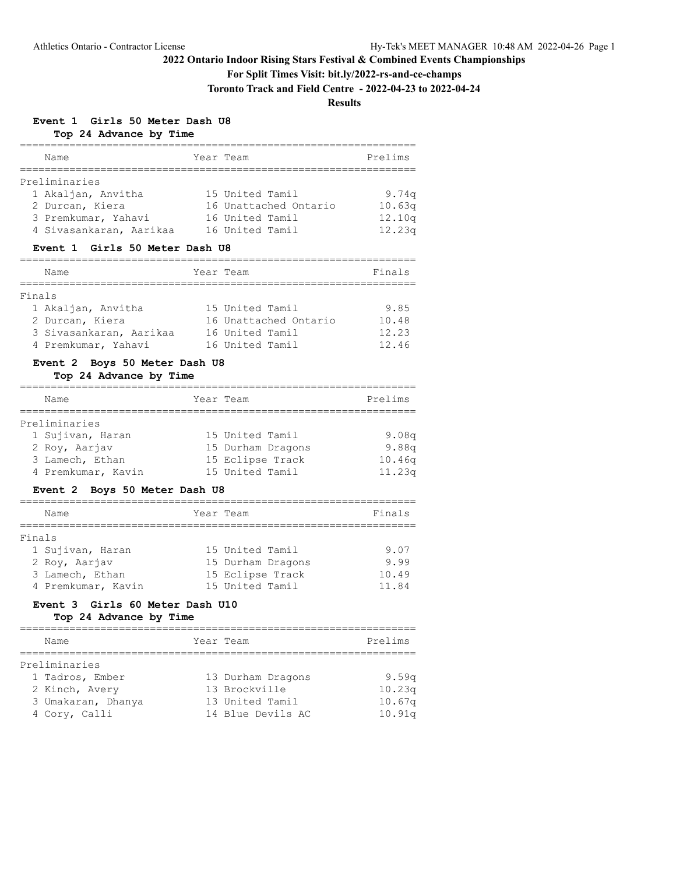## **For Split Times Visit: bit.ly/2022-rs-and-ce-champs**

**Toronto Track and Field Centre - 2022-04-23 to 2022-04-24**

## **Results**

# **Event 1 Girls 50 Meter Dash U8**

**Top 24 Advance by Time**

| Name                    | Year Team             | Prelims |
|-------------------------|-----------------------|---------|
|                         |                       |         |
| Preliminaries           |                       |         |
| 1 Akaljan, Anvitha      | 15 United Tamil       | 9.74q   |
| 2 Durcan, Kiera         | 16 Unattached Ontario | 10.63q  |
| 3 Premkumar, Yahavi     | 16 United Tamil       | 12.10q  |
| 4 Sivasankaran, Aarikaa | 16 United Tamil       | 12.23q  |
|                         |                       |         |

#### **Event 1 Girls 50 Meter Dash U8**

|        | Name                    | Year Team             | Finals |
|--------|-------------------------|-----------------------|--------|
| Finals |                         |                       |        |
|        | 1 Akaljan, Anvitha      | 15 United Tamil       | 9.85   |
|        | 2 Durcan, Kiera         | 16 Unattached Ontario | 10.48  |
|        | 3 Sivasankaran, Aarikaa | 16 United Tamil       | 12.23  |
|        | 4 Premkumar, Yahavi     | 16 United Tamil       | 12.46  |

#### **Event 2 Boys 50 Meter Dash U8**

#### **Top 24 Advance by Time**

| Name               | Year Team |                   | Prelims |
|--------------------|-----------|-------------------|---------|
| Preliminaries      |           |                   |         |
|                    |           |                   |         |
| 1 Sujivan, Haran   |           | 15 United Tamil   | 9.08q   |
| 2 Roy, Aarjav      |           | 15 Durham Dragons | 9.88q   |
| 3 Lamech, Ethan    |           | 15 Eclipse Track  | 10.46q  |
| 4 Premkumar, Kavin |           | 15 United Tamil   | 11.23q  |
|                    |           |                   |         |

#### **Event 2 Boys 50 Meter Dash U8**

|        | Name               | Year Team |                   | Finals |
|--------|--------------------|-----------|-------------------|--------|
| Finals |                    |           |                   |        |
|        | 1 Sujivan, Haran   |           | 15 United Tamil   | 9.07   |
|        | 2 Roy, Aarjav      |           | 15 Durham Dragons | 9.99   |
|        | 3 Lamech, Ethan    |           | 15 Eclipse Track  | 10.49  |
|        | 4 Premkumar, Kavin |           | 15 United Tamil   | 11.84  |

## **Event 3 Girls 60 Meter Dash U10**

| Name               | Year Team         | Prelims           |
|--------------------|-------------------|-------------------|
| Preliminaries      |                   |                   |
| 1 Tadros, Ember    | 13 Durham Dragons | 9.59 <sub>a</sub> |
| 2 Kinch, Avery     | 13 Brockville     | 10.23q            |
| 3 Umakaran, Dhanya | 13 United Tamil   | 10.67q            |
| 4 Cory, Calli      | 14 Blue Devils AC | 10.91q            |
|                    |                   |                   |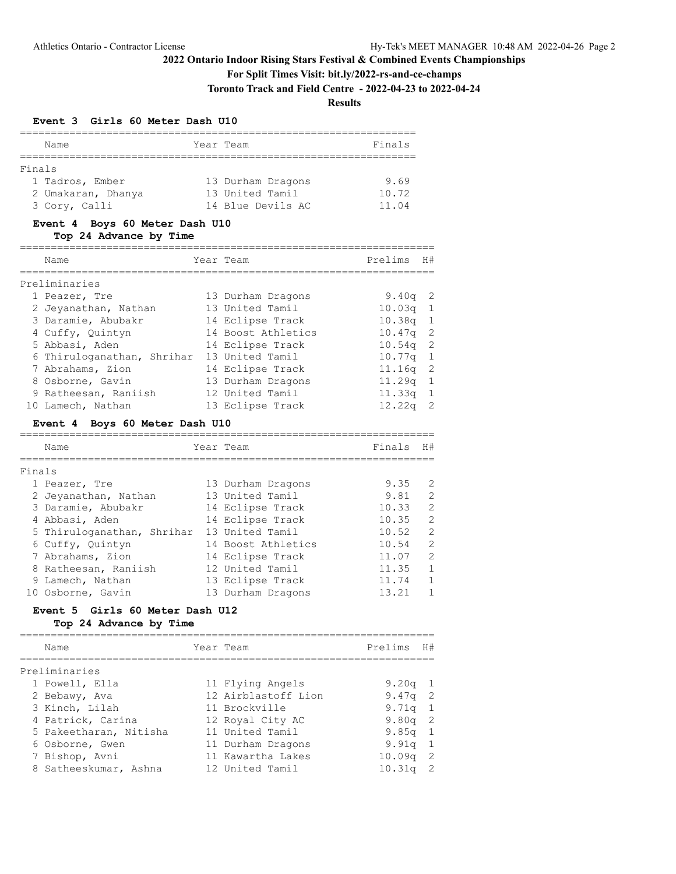**For Split Times Visit: bit.ly/2022-rs-and-ce-champs**

**Toronto Track and Field Centre - 2022-04-23 to 2022-04-24**

**Results**

#### **Event 3 Girls 60 Meter Dash U10**

|        | Name               | Year Team         | Finals |
|--------|--------------------|-------------------|--------|
|        |                    |                   |        |
| Finals |                    |                   |        |
|        | 1 Tadros, Ember    | 13 Durham Dragons | 9.69   |
|        | 2 Umakaran, Dhanya | 13 United Tamil   | 10.72  |
|        | 3 Cory, Calli      | 14 Blue Devils AC | 11.04  |

#### **Event 4 Boys 60 Meter Dash U10**

**Top 24 Advance by Time**

| Name                       |  | Year Team          | Prelims    | H# |  |  |  |
|----------------------------|--|--------------------|------------|----|--|--|--|
| Preliminaries              |  |                    |            |    |  |  |  |
| 1 Peazer, Tre              |  | 13 Durham Dragons  | $9.40q$ 2  |    |  |  |  |
| 2 Jeyanathan, Nathan       |  | 13 United Tamil    | $10.03q$ 1 |    |  |  |  |
| 3 Daramie, Abubakr         |  | 14 Eclipse Track   | $10.38q$ 1 |    |  |  |  |
| 4 Cuffy, Ouintyn           |  | 14 Boost Athletics | $10.47q$ 2 |    |  |  |  |
| 5 Abbasi, Aden             |  | 14 Eclipse Track   | $10.54q$ 2 |    |  |  |  |
| 6 Thiruloganathan, Shrihar |  | 13 United Tamil    | $10.77q$ 1 |    |  |  |  |
| 7 Abrahams, Zion           |  | 14 Eclipse Track   | $11.16q$ 2 |    |  |  |  |
| 8 Osborne, Gavin           |  | 13 Durham Dragons  | $11.29q$ 1 |    |  |  |  |
| 9 Ratheesan, Raniish       |  | 12 United Tamil    | $11.33q$ 1 |    |  |  |  |
| 10 Lamech, Nathan          |  | 13 Eclipse Track   | 12.22q     |    |  |  |  |

#### **Event 4 Boys 60 Meter Dash U10**

|        | Name                       | Year Team          | Finals | H#           |
|--------|----------------------------|--------------------|--------|--------------|
| Finals |                            |                    |        |              |
|        | 1 Peazer, Tre              | 13 Durham Dragons  | 9.35   | 2            |
|        | 2 Jeyanathan, Nathan       | 13 United Tamil    | 9.81   | 2            |
|        | 3 Daramie, Abubakr         | 14 Eclipse Track   | 10.33  | 2            |
|        | 4 Abbasi, Aden             | 14 Eclipse Track   | 10.35  | 2            |
|        | 5 Thiruloganathan, Shrihar | 13 United Tamil    | 10.52  | 2            |
|        | 6 Cuffy, Ouintyn           | 14 Boost Athletics | 10.54  | 2            |
|        | 7 Abrahams, Zion           | 14 Eclipse Track   | 11.07  | 2            |
|        | 8 Ratheesan, Raniish       | 12 United Tamil    | 11.35  | $\mathbf{1}$ |
|        | 9 Lamech, Nathan           | 13 Eclipse Track   | 11.74  | $\mathbf{1}$ |
|        | 10 Osborne, Gavin          | 13 Durham Dragons  | 13.21  |              |

## **Event 5 Girls 60 Meter Dash U12**

| Name                   | Year Team           | Prelims    | H # |
|------------------------|---------------------|------------|-----|
| Preliminaries          |                     |            |     |
| 1 Powell, Ella         | 11 Flying Angels    | 9.20q $1$  |     |
| 2 Bebawy, Ava          | 12 Airblastoff Lion | $9.47q$ 2  |     |
| 3 Kinch, Lilah         | 11 Brockville       | $9.71q$ 1  |     |
| 4 Patrick, Carina      | 12 Royal City AC    | $9.80q$ 2  |     |
| 5 Pakeetharan, Nitisha | 11 United Tamil     | $9.85q$ 1  |     |
| 6 Osborne, Gwen        | 11 Durham Dragons   | $9.91q$ 1  |     |
| 7 Bishop, Avni         | 11 Kawartha Lakes   | $10.09q$ 2 |     |
| 8 Satheeskumar, Ashna  | 12 United Tamil     | $10.31q$ 2 |     |
|                        |                     |            |     |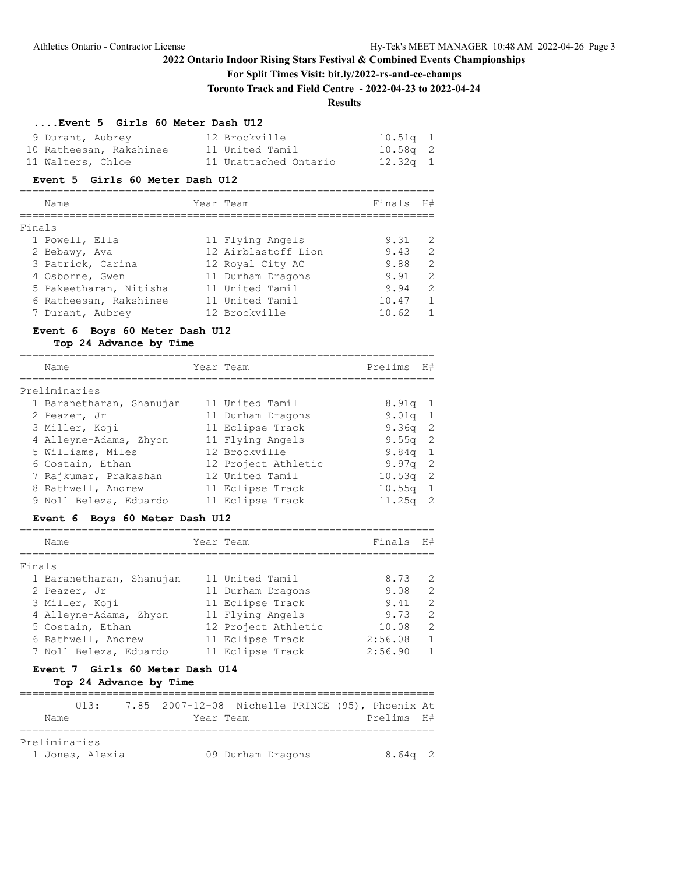## **For Split Times Visit: bit.ly/2022-rs-and-ce-champs**

**Toronto Track and Field Centre - 2022-04-23 to 2022-04-24**

## **Results**

#### **....Event 5 Girls 60 Meter Dash U12**

| 9 Durant, Aubrey        | 12 Brockville         | $10.51q$ 1 |  |
|-------------------------|-----------------------|------------|--|
| 10 Ratheesan, Rakshinee | 11 United Tamil       | $10.58q$ 2 |  |
| 11 Walters, Chloe       | 11 Unattached Ontario | $12.32q$ 1 |  |

#### **Event 5 Girls 60 Meter Dash U12**

## =================================================================== Name  $Year$  Team  $7$  Finals H# =================================================================== Finals

| 1 Powell, Ella         | 11 Flying Angels    | 9.31  | - 2            |
|------------------------|---------------------|-------|----------------|
| 2 Bebawy, Ava          | 12 Airblastoff Lion | 9.43  | - 2            |
| 3 Patrick, Carina      | 12 Royal City AC    | 9.88  | - 2            |
| 4 Osborne, Gwen        | 11 Durham Dragons   | 9.91  | - 2            |
| 5 Pakeetharan, Nitisha | 11 United Tamil     | 9.94  | - 2            |
| 6 Ratheesan, Rakshinee | 11 United Tamil     | 10.47 | - 1            |
| 7 Durant, Aubrey       | 12 Brockville       | 10.62 | $\overline{1}$ |

# **Event 6 Boys 60 Meter Dash U12**

#### **Top 24 Advance by Time**

| Name                     |  | Year Team           | Prelims            | H#             |  |  |  |
|--------------------------|--|---------------------|--------------------|----------------|--|--|--|
| Preliminaries            |  |                     |                    |                |  |  |  |
| 1 Baranetharan, Shanujan |  | 11 United Tamil     | $8.91q$ 1          |                |  |  |  |
| 2 Peazer, Jr             |  | 11 Durham Dragons   | $9.01q$ 1          |                |  |  |  |
| 3 Miller, Koji           |  | 11 Eclipse Track    | 9.36 <sub>q</sub>  | -2             |  |  |  |
| 4 Alleyne-Adams, Zhyon   |  | 11 Flying Angels    | 9.55 <sub>q</sub>  | -2             |  |  |  |
| 5 Williams, Miles        |  | 12 Brockville       | $9.84q$ 1          |                |  |  |  |
| 6 Costain, Ethan         |  | 12 Project Athletic | $9.97q$ 2          |                |  |  |  |
| 7 Rajkumar, Prakashan    |  | 12 United Tamil     | $10.53q$ 2         |                |  |  |  |
| 8 Rathwell, Andrew       |  | 11 Eclipse Track    | $10.55q$ 1         |                |  |  |  |
| 9 Noll Beleza, Eduardo   |  | 11 Eclipse Track    | 11.25 <sub>q</sub> | $\overline{2}$ |  |  |  |

#### **Event 6 Boys 60 Meter Dash U12**

|        | Name                     | Year Team           | Finals  | H#            |
|--------|--------------------------|---------------------|---------|---------------|
| Finals |                          |                     |         |               |
|        | 1 Baranetharan, Shanujan | 11 United Tamil     | 8.73    | 2             |
|        | 2 Peazer, Jr             | 11 Durham Dragons   | 9.08    | $\mathcal{L}$ |
|        | 3 Miller, Koji           | 11 Eclipse Track    | 9.41    | $\mathcal{L}$ |
|        | 4 Alleyne-Adams, Zhyon   | 11 Flying Angels    | 9.73    | $\mathcal{L}$ |
|        | 5 Costain, Ethan         | 12 Project Athletic | 10.08   | 2             |
|        | 6 Rathwell, Andrew       | 11 Eclipse Track    | 2:56.08 | $\mathbf{1}$  |
|        | 7 Noll Beleza, Eduardo   | 11 Eclipse Track    | 2:56.90 | $\mathbf{1}$  |

# **Event 7 Girls 60 Meter Dash U14**

|               |      | TT13            |  |                   |  | 7.85 2007-12-08 Nichelle PRINCE (95), Phoenix At |  |
|---------------|------|-----------------|--|-------------------|--|--------------------------------------------------|--|
|               | Name |                 |  | Year Team         |  | Prelims H#                                       |  |
|               |      |                 |  |                   |  |                                                  |  |
| Preliminaries |      |                 |  |                   |  |                                                  |  |
|               |      | 1 Jones, Alexia |  | 09 Durham Dragons |  | $8.64q$ 2                                        |  |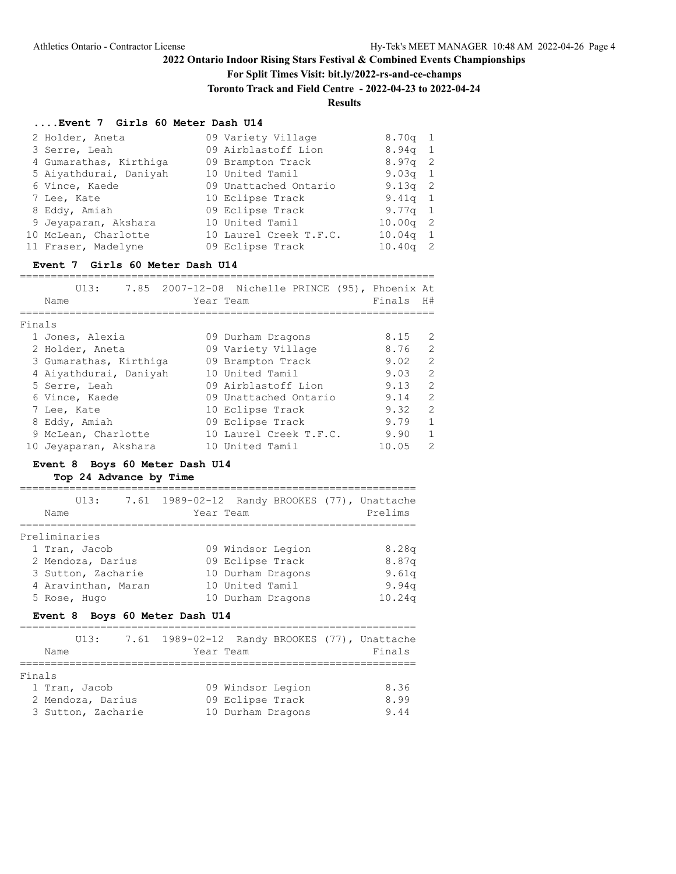## **For Split Times Visit: bit.ly/2022-rs-and-ce-champs**

**Toronto Track and Field Centre - 2022-04-23 to 2022-04-24**

# **Results**

#### **....Event 7 Girls 60 Meter Dash U14**

| 2 Holder, Aneta        | 09 Variety Village     | $8.70q$ 1  |  |
|------------------------|------------------------|------------|--|
| 3 Serre, Leah          | 09 Airblastoff Lion    | $8.94q$ 1  |  |
| 4 Gumarathas, Kirthiga | 09 Brampton Track      | $8.97q$ 2  |  |
| 5 Aiyathdurai, Daniyah | 10 United Tamil        | $9.03q$ 1  |  |
| 6 Vince, Kaede         | 09 Unattached Ontario  | $9.13q$ 2  |  |
| 7 Lee, Kate            | 10 Eclipse Track       | $9.41q$ 1  |  |
| 8 Eddy, Amiah          | 09 Eclipse Track       | 9.77q 1    |  |
| 9 Jeyaparan, Akshara   | 10 United Tamil        | $10.00q$ 2 |  |
| 10 McLean, Charlotte   | 10 Laurel Creek T.F.C. | $10.04q$ 1 |  |
| 11 Fraser, Madelyne    | 09 Eclipse Track       | $10.40q$ 2 |  |

#### **Event 7 Girls 60 Meter Dash U14**

|        | Name                   | Year Team | U13: 7.85 2007-12-08 Nichelle PRINCE (95), Phoenix At |  | Finals | H#            |
|--------|------------------------|-----------|-------------------------------------------------------|--|--------|---------------|
|        |                        |           |                                                       |  |        |               |
| Finals |                        |           |                                                       |  |        |               |
|        | 1 Jones, Alexia        |           | 09 Durham Dragons                                     |  | 8.15   | 2             |
|        | 2 Holder, Aneta        |           | 09 Variety Village                                    |  | 8.76   | 2             |
|        | 3 Gumarathas, Kirthiga |           | 09 Brampton Track                                     |  | 9.02   | $\mathcal{L}$ |
|        | 4 Aiyathdurai, Daniyah |           | 10 United Tamil                                       |  | 9.03   | $\mathcal{L}$ |
|        | 5 Serre, Leah          |           | 09 Airblastoff Lion                                   |  | 9.13   | $\mathcal{L}$ |
|        | 6 Vince, Kaede         |           | 09 Unattached Ontario                                 |  | 9.14   | $\mathcal{L}$ |
|        | 7 Lee, Kate            |           | 10 Eclipse Track                                      |  | 9.32   | $\mathcal{L}$ |
|        | 8 Eddy, Amiah          |           | 09 Eclipse Track                                      |  | 9.79   | $\mathbf{1}$  |
|        | 9 McLean, Charlotte    |           | 10 Laurel Creek T.F.C.                                |  | 9.90   | $\mathbf{1}$  |
|        | 10 Jeyaparan, Akshara  |           | 10 United Tamil                                       |  | 10.05  | $\mathcal{L}$ |

## **Event 8 Boys 60 Meter Dash U14**

|               | U13:                | 7.61 1989-02-12 Randy BROOKES (77), Unattache |                   |  |         |
|---------------|---------------------|-----------------------------------------------|-------------------|--|---------|
| Name          |                     | Year Team                                     |                   |  | Prelims |
| Preliminaries |                     |                                               |                   |  |         |
|               | 1 Tran, Jacob       |                                               | 09 Windsor Legion |  | 8.28q   |
|               | 2 Mendoza, Darius   |                                               | 09 Eclipse Track  |  | 8.87q   |
|               | 3 Sutton, Zacharie  |                                               | 10 Durham Dragons |  | 9.61q   |
|               | 4 Aravinthan, Maran |                                               | 10 United Tamil   |  | 9.94q   |
|               | 5 Rose, Hugo        |                                               | 10 Durham Dragons |  | 10.24q  |
|               |                     | Event 8 Boys 60 Meter Dash U14                |                   |  |         |
|               | UI3:                | 7.61 1989-02-12 Randy BROOKES (77), Unattache |                   |  |         |
| Name          |                     | Year Team                                     |                   |  | Finals  |

| 09 Windsor Legion | 8.36 |
|-------------------|------|
| 09 Eclipse Track  | 8.99 |
| 10 Durham Dragons | 9.44 |
|                   |      |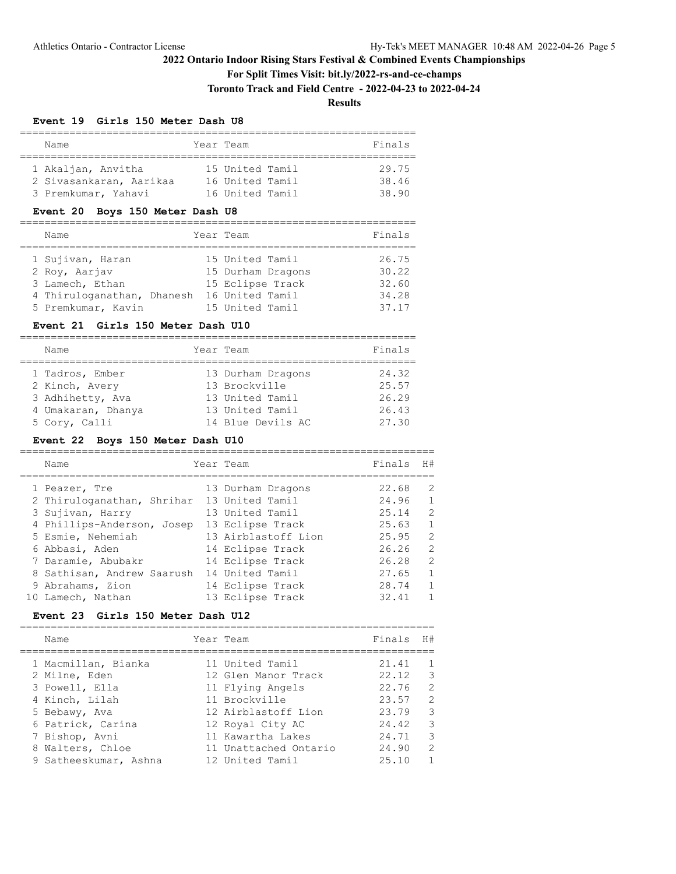#### **For Split Times Visit: bit.ly/2022-rs-and-ce-champs**

**Toronto Track and Field Centre - 2022-04-23 to 2022-04-24**

**Results**

#### **Event 19 Girls 150 Meter Dash U8**

| Name                    | Year Team       | Finals |
|-------------------------|-----------------|--------|
|                         |                 |        |
| 1 Akaljan, Anvitha      | 15 United Tamil | 29.75  |
| 2 Sivasankaran, Aarikaa | 16 United Tamil | 38.46  |
| 3 Premkumar, Yahavi     | 16 United Tamil | 38.90  |

#### **Event 20 Boys 150 Meter Dash U8**

| Name                       | Year Team         | Finals |
|----------------------------|-------------------|--------|
| 1 Sujivan, Haran           | 15 United Tamil   | 26.75  |
| 2 Roy, Aarjav              | 15 Durham Dragons | 30.22  |
| 3 Lamech, Ethan            | 15 Eclipse Track  | 32.60  |
| 4 Thiruloganathan, Dhanesh | 16 United Tamil   | 34.28  |
| 5 Premkumar, Kavin         | 15 United Tamil   | 37.17  |

#### **Event 21 Girls 150 Meter Dash U10**

| Name               | Year Team         | Finals |
|--------------------|-------------------|--------|
| 1 Tadros, Ember    | 13 Durham Dragons | 24.32  |
| 2 Kinch, Avery     | 13 Brockville     | 25.57  |
| 3 Adhihetty, Ava   | 13 United Tamil   | 26.29  |
| 4 Umakaran, Dhanya | 13 United Tamil   | 26.43  |
| 5 Cory, Calli      | 14 Blue Devils AC | 27.30  |

#### **Event 22 Boys 150 Meter Dash U10**

| Name                                       | Year Team           | Finals | H#            |
|--------------------------------------------|---------------------|--------|---------------|
| 1 Peazer, Tre                              | 13 Durham Dragons   | 22.68  | 2             |
| 2 Thiruloganathan, Shrihar 13 United Tamil |                     | 24.96  | $\mathbf{1}$  |
| 3 Sujivan, Harry                           | 13 United Tamil     | 25.14  | $\mathcal{L}$ |
| 4 Phillips-Anderson, Josep                 | 13 Eclipse Track    | 25.63  | $\mathbf{1}$  |
| 5 Esmie, Nehemiah                          | 13 Airblastoff Lion | 25.95  | $\mathcal{L}$ |
| 6 Abbasi, Aden                             | 14 Eclipse Track    | 26.26  | $\mathcal{L}$ |
| 7 Daramie, Abubakr                         | 14 Eclipse Track    | 26.28  | $\mathcal{L}$ |
| 8 Sathisan, Andrew Saarush                 | 14 United Tamil     | 27.65  | 1             |
| 9 Abrahams, Zion                           | 14 Eclipse Track    | 28.74  | 1             |
| 10 Lamech, Nathan                          | 13 Eclipse Track    | 32.41  |               |

#### **Event 23 Girls 150 Meter Dash U12**

=================================================================== Name Year Team Finals H# =================================================================== 1 Macmillan, Bianka 11 United Tamil 21.41 1 2 Milne, Eden 12 Glen Manor Track 22.12 3 3 Powell, Ella 11 Flying Angels 22.76 2 4 Kinch, Lilah 11 Brockville 23.57 2 5 Bebawy, Ava 12 Airblastoff Lion 23.79 3 6 Patrick, Carina 12 Royal City AC 24.42 3 7 Bishop, Avni 11 Kawartha Lakes 24.71 3 8 Walters, Chloe 11 Unattached Ontario 24.90 2 9 Satheeskumar, Ashna 12 United Tamil 25.10 1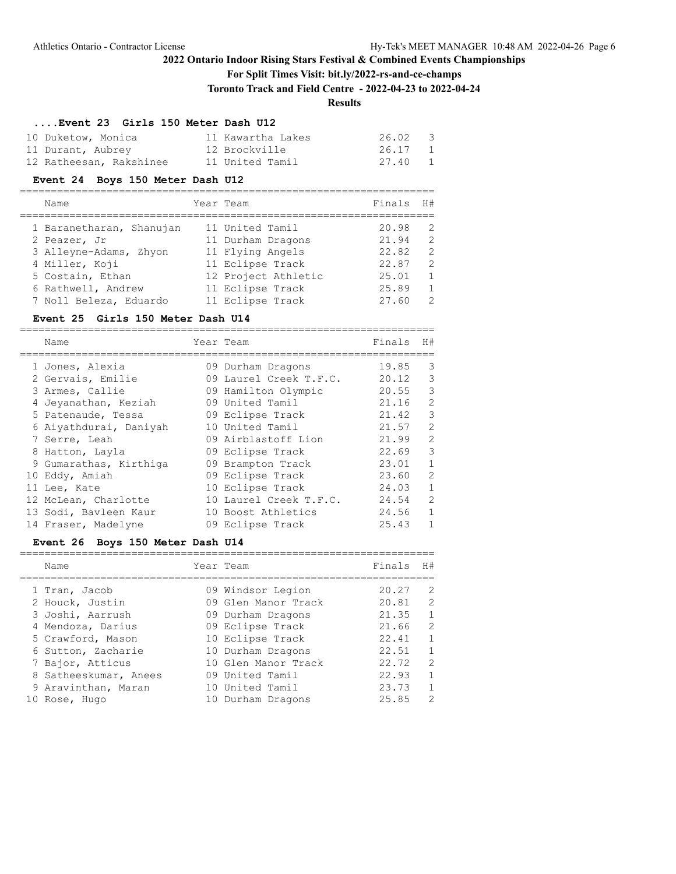## **For Split Times Visit: bit.ly/2022-rs-and-ce-champs**

**Toronto Track and Field Centre - 2022-04-23 to 2022-04-24**

# **Results**

#### **....Event 23 Girls 150 Meter Dash U12**

| 10 Duketow, Monica      | 11 Kawartha Lakes | $26.02 \qquad 3$ |
|-------------------------|-------------------|------------------|
| 11 Durant, Aubrey       | 12 Brockville     | 26.17 1          |
| 12 Ratheesan, Rakshinee | 11 United Tamil   | 27.40 1          |

## **Event 24 Boys 150 Meter Dash U12**

| Name                     | Year Team           | Finals | H#             |
|--------------------------|---------------------|--------|----------------|
| 1 Baranetharan, Shanujan | 11 United Tamil     | 20.98  | -2             |
| 2 Peazer, Jr             | 11 Durham Dragons   | 21.94  | $\overline{2}$ |
| 3 Alleyne-Adams, Zhyon   | 11 Flying Angels    | 22.82  | $\mathcal{L}$  |
| 4 Miller, Koji           | 11 Eclipse Track    | 22.87  | 2              |
| 5 Costain, Ethan         | 12 Project Athletic | 25.01  | $\mathbf{1}$   |
| 6 Rathwell, Andrew       | 11 Eclipse Track    | 25.89  | $\mathbf{1}$   |
| 7 Noll Beleza, Eduardo   | 11 Eclipse Track    | 27.60  | $\mathcal{L}$  |

#### **Event 25 Girls 150 Meter Dash U14**

| Name                   | Year Team              | Finals | H#             |
|------------------------|------------------------|--------|----------------|
| 1 Jones, Alexia        | 09 Durham Dragons      | 19.85  | 3              |
| 2 Gervais, Emilie      | 09 Laurel Creek T.F.C. | 20.12  | 3              |
| 3 Armes, Callie        | 09 Hamilton Olympic    | 20.55  | 3              |
| 4 Jeyanathan, Keziah   | 09 United Tamil        | 21.16  | 2              |
| 5 Patenaude, Tessa     | 09 Eclipse Track       | 21.42  | 3              |
| 6 Aiyathdurai, Daniyah | 10 United Tamil        | 21.57  | $\overline{2}$ |
| 7 Serre, Leah          | 09 Airblastoff Lion    | 21.99  | 2              |
| 8 Hatton, Layla        | 09 Eclipse Track       | 22.69  | 3              |
| 9 Gumarathas, Kirthiga | 09 Brampton Track      | 23.01  | $\mathbf{1}$   |
| 10 Eddy, Amiah         | 09 Eclipse Track       | 23.60  | 2              |
| 11 Lee, Kate           | 10 Eclipse Track       | 24.03  | $\mathbf{1}$   |
| 12 McLean, Charlotte   | 10 Laurel Creek T.F.C. | 24.54  | 2              |
| 13 Sodi, Bavleen Kaur  | 10 Boost Athletics     | 24.56  | $\mathbf{1}$   |
| 14 Fraser, Madelyne    | 09 Eclipse Track       | 25.43  | $\mathbf{1}$   |

## **Event 26 Boys 150 Meter Dash U14**

| Name                  | Year Team           | Finals | H#             |
|-----------------------|---------------------|--------|----------------|
| 1 Tran, Jacob         | 09 Windsor Legion   | 20.27  | $\mathcal{L}$  |
| 2 Houck, Justin       | 09 Glen Manor Track | 20.81  | 2              |
| 3 Joshi, Aarrush      | 09 Durham Dragons   | 21.35  | $\mathbf{1}$   |
| 4 Mendoza, Darius     | 09 Eclipse Track    | 21.66  | $\overline{2}$ |
| 5 Crawford, Mason     | 10 Eclipse Track    | 22.41  | 1              |
| 6 Sutton, Zacharie    | 10 Durham Dragons   | 22.51  | $\mathbf{1}$   |
| 7 Bajor, Atticus      | 10 Glen Manor Track | 22.72  | 2              |
| 8 Satheeskumar, Anees | 09 United Tamil     | 22.93  | 1              |
| 9 Aravinthan, Maran   | 10 United Tamil     | 23.73  | $\mathbf{1}$   |
| 10 Rose, Hugo         | 10 Durham Dragons   | 25.85  | $\mathcal{L}$  |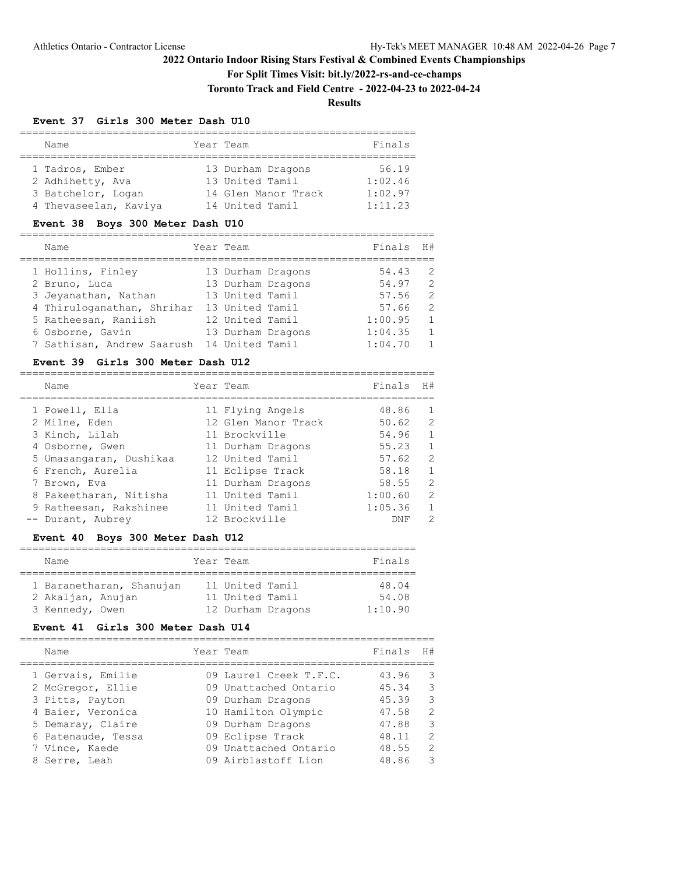## **For Split Times Visit: bit.ly/2022-rs-and-ce-champs**

**Toronto Track and Field Centre - 2022-04-23 to 2022-04-24**

## **Results**

#### **Event 37 Girls 300 Meter Dash U10**

| Name                  | Year Team |                     | Finals  |
|-----------------------|-----------|---------------------|---------|
|                       |           |                     |         |
| 1 Tadros, Ember       |           | 13 Durham Dragons   | 56.19   |
| 2 Adhihetty, Ava      |           | 13 United Tamil     | 1:02.46 |
| 3 Batchelor, Logan    |           | 14 Glen Manor Track | 1:02.97 |
| 4 Thevaseelan, Kaviya |           | 14 United Tamil     | 1:11.23 |

#### **Event 38 Boys 300 Meter Dash U10**

| Name                                       | Year Team       |                   | Finals  | H#             |
|--------------------------------------------|-----------------|-------------------|---------|----------------|
| 1 Hollins, Finley                          |                 | 13 Durham Dragons | 54.43   | - 2            |
| 2 Bruno, Luca                              |                 | 13 Durham Dragons | 54.97   | $\mathcal{L}$  |
| 3 Jeyanathan, Nathan                       | 13 United Tamil |                   | 57.56   | $\mathcal{L}$  |
| 4 Thiruloganathan, Shrihar                 | 13 United Tamil |                   | 57.66   | 2              |
| 5 Ratheesan, Raniish                       | 12 United Tamil |                   | 1:00.95 | $\mathbf{1}$   |
| 6 Osborne, Gavin                           |                 | 13 Durham Dragons | 1:04.35 | $\overline{1}$ |
| 7 Sathisan, Andrew Saarush 14 United Tamil |                 |                   | 1:04.70 | $\mathbf{1}$   |

#### **Event 39 Girls 300 Meter Dash U12**

| Name                    | Year Team           | Finals     | H#             |
|-------------------------|---------------------|------------|----------------|
| 1 Powell, Ella          | 11 Flying Angels    | 48.86      | $\overline{1}$ |
| 2 Milne, Eden           | 12 Glen Manor Track | 50.62      | 2              |
| 3 Kinch, Lilah          | 11 Brockville       | 54.96      | $\overline{1}$ |
| 4 Osborne, Gwen         | 11 Durham Dragons   | 55.23      | $\overline{1}$ |
| 5 Umasangaran, Dushikaa | 12 United Tamil     | 57.62      | 2              |
| 6 French, Aurelia       | 11 Eclipse Track    | 58.18      | $\mathbf{1}$   |
| 7 Brown, Eva            | 11 Durham Dragons   | 58.55      | 2              |
| 8 Pakeetharan, Nitisha  | 11 United Tamil     | 1:00.60    | 2              |
| 9 Ratheesan, Rakshinee  | 11 United Tamil     | 1:05.36    | $\mathbf{1}$   |
| -- Durant, Aubrey       | 12 Brockville       | <b>DNF</b> | $\mathcal{P}$  |

## **Event 40 Boys 300 Meter Dash U12**

| Name                     | Year Team         | Finals  |
|--------------------------|-------------------|---------|
|                          |                   |         |
| 1 Baranetharan, Shanujan | 11 United Tamil   | 48.04   |
| 2 Akaljan, Anujan        | 11 United Tamil   | 54.08   |
| 3 Kennedy, Owen          | 12 Durham Dragons | 1:10.90 |

#### **Event 41 Girls 300 Meter Dash U14**

|  | Name                                   | Year Team                                       | Finals         | H#            |
|--|----------------------------------------|-------------------------------------------------|----------------|---------------|
|  | 1 Gervais, Emilie<br>2 McGregor, Ellie | 09 Laurel Creek T.F.C.<br>09 Unattached Ontario | 43.96<br>45.34 | - 3<br>-3     |
|  | 3 Pitts, Payton                        | 09 Durham Dragons                               | 45.39          | 3             |
|  | 4 Baier, Veronica<br>5 Demaray, Claire | 10 Hamilton Olympic<br>09 Durham Dragons        | 47.58<br>47.88 | 2<br>-3       |
|  | 6 Patenaude, Tessa                     | 09 Eclipse Track                                | 48.11          | $\mathcal{L}$ |
|  | 7 Vince, Kaede                         | 09 Unattached Ontario                           | 48.55          | $\mathcal{L}$ |
|  | 8 Serre, Leah                          | 09 Airblastoff Lion                             | 48.86          | 3             |
|  |                                        |                                                 |                |               |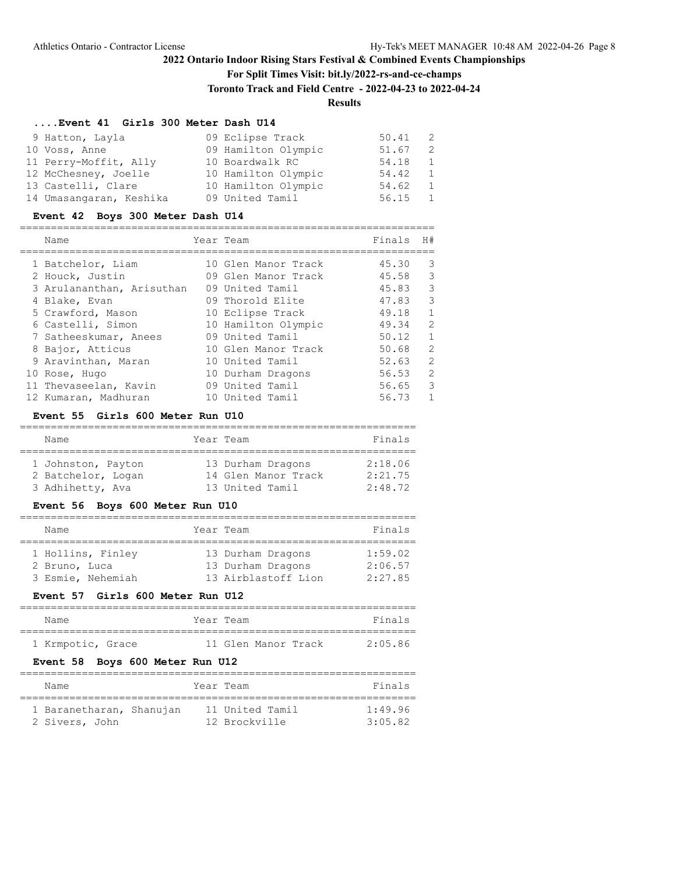## **For Split Times Visit: bit.ly/2022-rs-and-ce-champs**

**Toronto Track and Field Centre - 2022-04-23 to 2022-04-24**

# **Results**

## **....Event 41 Girls 300 Meter Dash U14**

| 9 Hatton, Layla         | 09 Eclipse Track    | 50.41 | 2            |
|-------------------------|---------------------|-------|--------------|
| 10 Voss, Anne           | 09 Hamilton Olympic | 51.67 | 2            |
| 11 Perry-Moffit, Ally   | 10 Boardwalk RC     | 54.18 | 1            |
| 12 McChesney, Joelle    | 10 Hamilton Olympic | 54.42 | 1            |
| 13 Castelli, Clare      | 10 Hamilton Olympic | 54.62 | <sup>1</sup> |
| 14 Umasangaran, Keshika | 09 United Tamil     | 56.15 | 1            |

#### **Event 42 Boys 300 Meter Dash U14**

| Name                      | Year Team           | Finals | H#            |
|---------------------------|---------------------|--------|---------------|
| 1 Batchelor, Liam         | 10 Glen Manor Track | 45.30  | 3             |
| 2 Houck, Justin           | 09 Glen Manor Track | 45.58  | 3             |
| 3 Arulananthan, Arisuthan | 09 United Tamil     | 45.83  | $\mathcal{E}$ |
| 4 Blake, Evan             | 09 Thorold Elite    | 47.83  | $\mathcal{E}$ |
| 5 Crawford, Mason         | 10 Eclipse Track    | 49.18  | $\mathbf{1}$  |
| 6 Castelli, Simon         | 10 Hamilton Olympic | 49.34  | 2             |
| 7 Satheeskumar, Anees     | 09 United Tamil     | 50.12  | $\mathbf{1}$  |
| 8 Bajor, Atticus          | 10 Glen Manor Track | 50.68  | 2             |
| 9 Aravinthan, Maran       | 10 United Tamil     | 52.63  | 2             |
| 10 Rose, Hugo             | 10 Durham Dragons   | 56.53  | 2             |
| 11 Thevaseelan, Kavin     | 09 United Tamil     | 56.65  | $\mathcal{E}$ |
| 12 Kumaran, Madhuran      | 10 United Tamil     | 56.73  | $\mathbf{1}$  |

#### **Event 55 Girls 600 Meter Run U10**

| Name               | Year Team           | Finals  |
|--------------------|---------------------|---------|
|                    |                     |         |
| 1 Johnston, Payton | 13 Durham Dragons   | 2:18.06 |
| 2 Batchelor, Logan | 14 Glen Manor Track | 2:21.75 |
| 3 Adhihetty, Ava   | 13 United Tamil     | 2:48.72 |

#### **Event 56 Boys 600 Meter Run U10**

| Name          |                                        |  | Year Team                                                     | Finals                        |  |  |  |
|---------------|----------------------------------------|--|---------------------------------------------------------------|-------------------------------|--|--|--|
| 2 Bruno, Luca | 1 Hollins, Finley<br>3 Esmie, Nehemiah |  | 13 Durham Dragons<br>13 Durham Dragons<br>13 Airblastoff Lion | 1:59.02<br>2:06.57<br>2:27.85 |  |  |  |

## **Event 57 Girls 600 Meter Run U12**

| Name              | Year Team |                     | Finals  |
|-------------------|-----------|---------------------|---------|
|                   |           |                     |         |
| 1 Krmpotic, Grace |           | 11 Glen Manor Track | 2:05.86 |

## **Event 58 Boys 600 Meter Run U12**

| Name                     | Year Team |                 | Finals  |
|--------------------------|-----------|-----------------|---------|
| 1 Baranetharan, Shanujan |           | 11 United Tamil | 1:49.96 |
| 2 Sivers, John           |           | 12 Brockville   | 3:05.82 |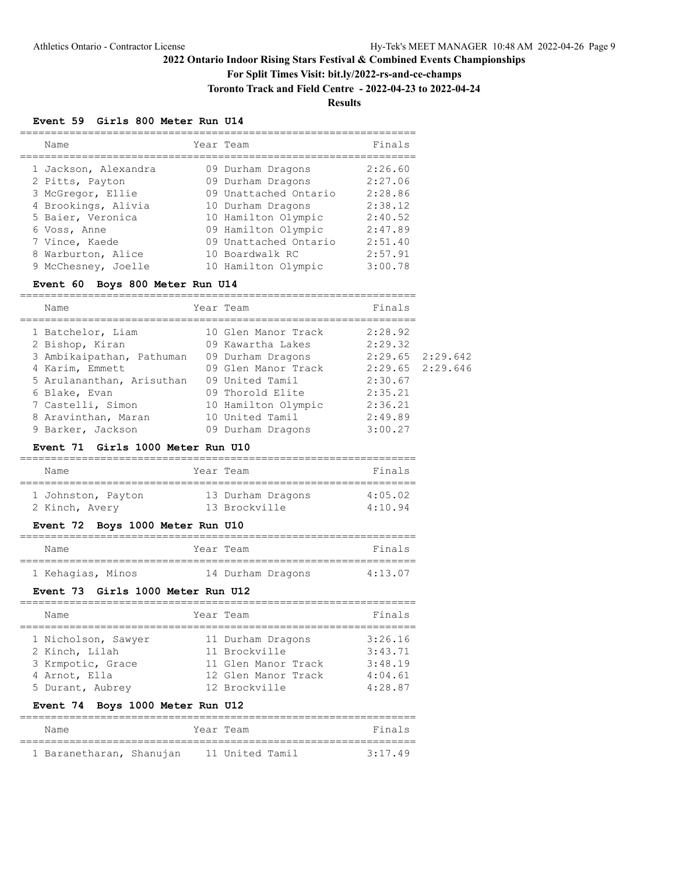## **For Split Times Visit: bit.ly/2022-rs-and-ce-champs**

**Toronto Track and Field Centre - 2022-04-23 to 2022-04-24**

# **Results**

#### **Event 59 Girls 800 Meter Run U14**

| Name                 | Year Team             | Finals  |
|----------------------|-----------------------|---------|
| 1 Jackson, Alexandra | 09 Durham Dragons     | 2:26.60 |
| 2 Pitts, Payton      | 09 Durham Dragons     | 2:27.06 |
| 3 McGregor, Ellie    | 09 Unattached Ontario | 2:28.86 |
| 4 Brookings, Alivia  | 10 Durham Dragons     | 2:38.12 |
| 5 Baier, Veronica    | 10 Hamilton Olympic   | 2:40.52 |
| 6 Voss, Anne         | 09 Hamilton Olympic   | 2:47.89 |
| 7 Vince, Kaede       | 09 Unattached Ontario | 2:51.40 |
| 8 Warburton, Alice   | 10 Boardwalk RC       | 2:57.91 |
| 9 McChesney, Joelle  | 10 Hamilton Olympic   | 3:00.78 |

#### **Event 60 Boys 800 Meter Run U14**

| Name                      | Year Team           | Finals  |                      |
|---------------------------|---------------------|---------|----------------------|
| 1 Batchelor, Liam         | 10 Glen Manor Track | 2:28.92 |                      |
| 2 Bishop, Kiran           | 09 Kawartha Lakes   | 2:29.32 |                      |
| 3 Ambikaipathan, Pathuman | 09 Durham Dragons   |         | $2:29.65$ $2:29.642$ |
| 4 Karim, Emmett           | 09 Glen Manor Track |         | $2:29.65$ $2:29.646$ |
| 5 Arulananthan, Arisuthan | 09 United Tamil     | 2:30.67 |                      |
| 6 Blake, Evan             | 09 Thorold Elite    | 2:35.21 |                      |
| 7 Castelli, Simon         | 10 Hamilton Olympic | 2:36.21 |                      |
| 8 Aravinthan, Maran       | 10 United Tamil     | 2:49.89 |                      |
| 9 Barker, Jackson         | 09 Durham Dragons   | 3:00.27 |                      |

#### **Event 71 Girls 1000 Meter Run U10**

| Name                                 | Year Team                          | Finals             |
|--------------------------------------|------------------------------------|--------------------|
| 1 Johnston, Payton<br>2 Kinch, Avery | 13 Durham Dragons<br>13 Brockville | 4:05.02<br>4:10.94 |

## **Event 72 Boys 1000 Meter Run U10**

| Name              | Year Team |                   | Finals  |
|-------------------|-----------|-------------------|---------|
|                   |           |                   |         |
| 1 Kehagias, Minos |           | 14 Durham Dragons | 4:13.07 |

#### **Event 73 Girls 1000 Meter Run U12**

| Name                                                                                            | Year Team                                                                                         | Finals                                              |
|-------------------------------------------------------------------------------------------------|---------------------------------------------------------------------------------------------------|-----------------------------------------------------|
| 1 Nicholson, Sawyer<br>2 Kinch, Lilah<br>3 Krmpotic, Grace<br>4 Arnot, Ella<br>5 Durant, Aubrey | 11 Durham Dragons<br>11 Brockville<br>11 Glen Manor Track<br>12 Glen Manor Track<br>12 Brockville | 3:26.16<br>3:43.71<br>3:48.19<br>4:04.61<br>4:28.87 |

## **Event 74 Boys 1000 Meter Run U12**

| Name                     | Year Team |                 |  | Finals  |  |
|--------------------------|-----------|-----------------|--|---------|--|
|                          |           |                 |  |         |  |
| 1 Baranetharan, Shanujan |           | 11 United Tamil |  | 3:17.49 |  |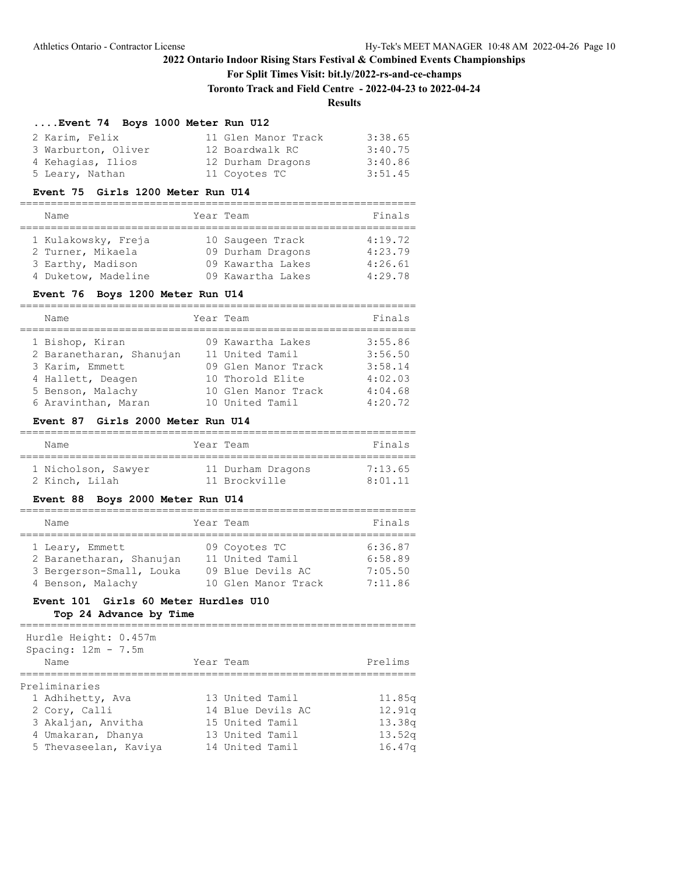**For Split Times Visit: bit.ly/2022-rs-and-ce-champs**

**Toronto Track and Field Centre - 2022-04-23 to 2022-04-24**

# **Results**

#### **....Event 74 Boys 1000 Meter Run U12**

| 2 Karim, Felix      | 11 Glen Manor Track | 3:38.65 |
|---------------------|---------------------|---------|
| 3 Warburton, Oliver | 12 Boardwalk RC     | 3:40.75 |
| 4 Kehagias, Ilios   | 12 Durham Dragons   | 3:40.86 |
| 5 Leary, Nathan     | 11 Coyotes TC       | 3:51.45 |

#### **Event 75 Girls 1200 Meter Run U14**

| Name                                                                                 | Year Team                                                                       | Finals                                   |
|--------------------------------------------------------------------------------------|---------------------------------------------------------------------------------|------------------------------------------|
| 1 Kulakowsky, Freja<br>2 Turner, Mikaela<br>3 Earthy, Madison<br>4 Duketow, Madeline | 10 Saugeen Track<br>09 Durham Dragons<br>09 Kawartha Lakes<br>09 Kawartha Lakes | 4:19.72<br>4:23.79<br>4:26.61<br>4:29.78 |

#### **Event 76 Boys 1200 Meter Run U14**

| Name                     | Year Team           | Finals  |
|--------------------------|---------------------|---------|
| 1 Bishop, Kiran          | 09 Kawartha Lakes   | 3:55.86 |
| 2 Baranetharan, Shanujan | 11 United Tamil     | 3:56.50 |
| 3 Karim, Emmett          | 09 Glen Manor Track | 3:58.14 |
| 4 Hallett, Deagen        | 10 Thorold Elite    | 4:02.03 |
| 5 Benson, Malachy        | 10 Glen Manor Track | 4:04.68 |
| 6 Aravinthan, Maran      | 10 United Tamil     | 4:20.72 |

#### **Event 87 Girls 2000 Meter Run U14**

| Name                                  | Year Team                          | Finals             |
|---------------------------------------|------------------------------------|--------------------|
| 1 Nicholson, Sawyer<br>2 Kinch, Lilah | 11 Durham Dragons<br>11 Brockville | 7:13.65<br>8:01.11 |

# **Event 88 Boys 2000 Meter Run U14**

| Name                     | Year Team           | Finals  |
|--------------------------|---------------------|---------|
|                          |                     |         |
| 1 Leary, Emmett          | 09 Coyotes TC       | 6:36.87 |
| 2 Baranetharan, Shanujan | 11 United Tamil     | 6:58.89 |
| 3 Bergerson-Small, Louka | 09 Blue Devils AC   | 7:05.50 |
| 4 Benson, Malachy        | 10 Glen Manor Track | 7:11.86 |

# **Event 101 Girls 60 Meter Hurdles U10**

**Top 24 Advance by Time**

================================================================ Hurdle Height: 0.457m

| MULUIS NEIGHL. 0.70 AM<br>Spacing: $12m - 7.5m$<br>Name | Year Team         | Prelims |
|---------------------------------------------------------|-------------------|---------|
| Preliminaries                                           |                   |         |
| 1 Adhihetty, Ava                                        | 13 United Tamil   | 11.85q  |
| 2 Cory, Calli                                           | 14 Blue Devils AC | 12.91q  |
| 3 Akaljan, Anvitha                                      | 15 United Tamil   | 13.38q  |
| 4 Umakaran, Dhanya                                      | 13 United Tamil   | 13.52q  |
| 5 Thevaseelan, Kaviya                                   | 14 United Tamil   | 16.47q  |
|                                                         |                   |         |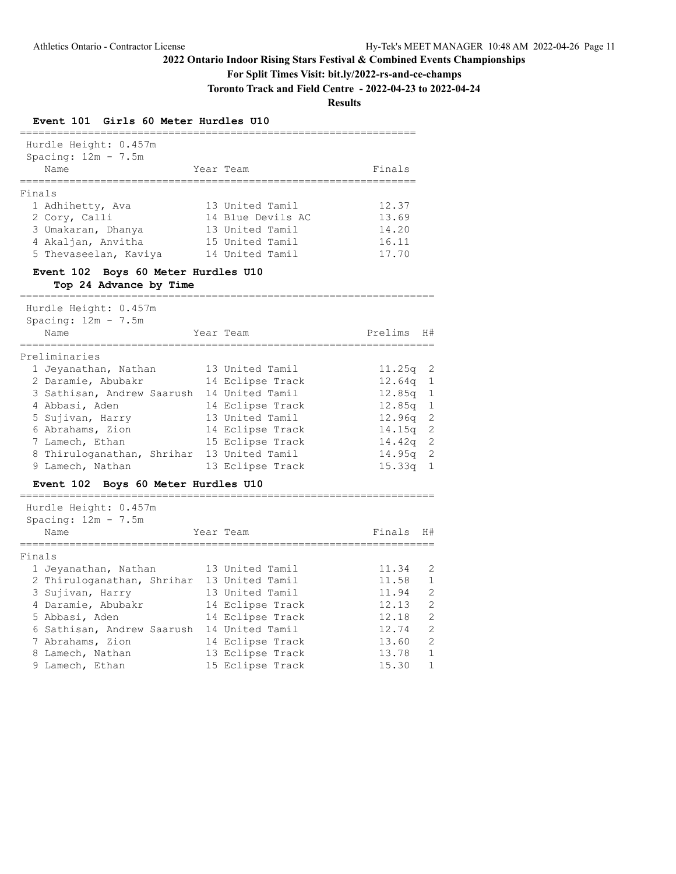**For Split Times Visit: bit.ly/2022-rs-and-ce-champs**

**Toronto Track and Field Centre - 2022-04-23 to 2022-04-24**

**Results**

## **Event 101 Girls 60 Meter Hurdles U10**

| Hurdle Height: 0.457m<br>Spacing: $12m - 7.5m$                                                         |                                                                                               |                                           |                |
|--------------------------------------------------------------------------------------------------------|-----------------------------------------------------------------------------------------------|-------------------------------------------|----------------|
| Name                                                                                                   | Year Team                                                                                     | Finals                                    |                |
| Finals                                                                                                 |                                                                                               |                                           |                |
| 1 Adhihetty, Ava<br>2 Cory, Calli<br>3 Umakaran, Dhanya<br>4 Akaljan, Anvitha<br>5 Thevaseelan, Kaviya | 13 United Tamil<br>14 Blue Devils AC<br>13 United Tamil<br>15 United Tamil<br>14 United Tamil | 12.37<br>13.69<br>14.20<br>16.11<br>17.70 |                |
| Event 102 Boys 60 Meter Hurdles U10<br>Top 24 Advance by Time                                          |                                                                                               |                                           |                |
| ===================<br>Hurdle Height: 0.457m                                                           | ------------------------------                                                                |                                           |                |
| Spacing: $12m - 7.5m$<br>Name<br>===============                                                       | Year Team                                                                                     | Prelims                                   | H#             |
| Preliminaries                                                                                          |                                                                                               |                                           |                |
| 1 Jeyanathan, Nathan                                                                                   | 13 United Tamil                                                                               | 11.25q                                    | 2              |
| 2 Daramie, Abubakr                                                                                     | 14 Eclipse Track                                                                              | 12.64q                                    | $\mathbf{1}$   |
| 3 Sathisan, Andrew Saarush                                                                             | 14 United Tamil                                                                               | 12.85q                                    | 1              |
| 4 Abbasi, Aden                                                                                         | 14 Eclipse Track                                                                              | 12.85q                                    | $\mathbf{1}$   |
| 5 Sujivan, Harry                                                                                       | 13 United Tamil                                                                               | 12.96q                                    | $\mathbf{2}$   |
| 6 Abrahams, Zion                                                                                       | 14 Eclipse Track                                                                              | 14.15q                                    | $\overline{c}$ |
| 7 Lamech, Ethan                                                                                        | 15 Eclipse Track                                                                              | 14.42q                                    | $\mathbf{2}$   |
| 8 Thiruloganathan, Shrihar                                                                             | 13 United Tamil                                                                               | 14.95q                                    | 2              |
| 9 Lamech, Nathan                                                                                       | 13 Eclipse Track                                                                              | 15.33q                                    | $\mathbf{1}$   |
| Event 102 Boys 60 Meter Hurdles U10<br>;==============<br>--------                                     |                                                                                               |                                           |                |
| Hurdle Height: 0.457m                                                                                  |                                                                                               |                                           |                |
| Spacing: $12m - 7.5m$<br>Name<br>===========                                                           | Year Team                                                                                     | Finals                                    | H#             |
| Finals                                                                                                 |                                                                                               |                                           |                |
| 1 Jeyanathan, Nathan                                                                                   | 13 United Tamil                                                                               | 11.34                                     | 2              |
| 2 Thiruloganathan, Shrihar                                                                             | 13 United Tamil                                                                               | 11.58                                     | $\mathbf 1$    |
| 3 Sujivan, Harry                                                                                       | 13 United Tamil                                                                               | 11.94                                     | $\overline{2}$ |
| 4 Daramie, Abubakr                                                                                     | 14 Eclipse Track                                                                              | 12.13                                     | $\overline{2}$ |
| 5 Abbasi, Aden                                                                                         | 14 Eclipse Track                                                                              | 12.18                                     | $\overline{2}$ |
| 6 Sathisan, Andrew Saarush                                                                             | 14 United Tamil                                                                               | 12.74                                     | $\overline{c}$ |
| 7 Abrahams, Zion                                                                                       | 14 Eclipse Track                                                                              | 13.60                                     | $\overline{2}$ |
| 8 Lamech, Nathan                                                                                       | 13 Eclipse Track                                                                              | 13.78                                     | $\mathbf{1}$   |
| 9 Lamech, Ethan                                                                                        | 15 Eclipse Track                                                                              | 15.30                                     | $\mathbf 1$    |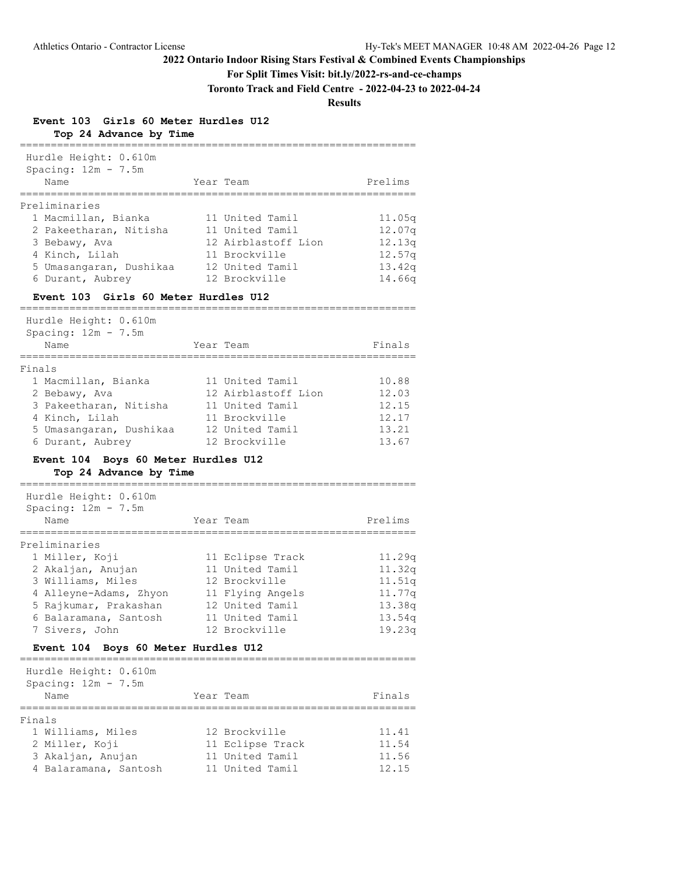# **For Split Times Visit: bit.ly/2022-rs-and-ce-champs**

**Toronto Track and Field Centre - 2022-04-23 to 2022-04-24**

## **Results**

**Event 103 Girls 60 Meter Hurdles U12 Top 24 Advance by Time**

| Hurdle Height: 0.610m                         |                                     |                                                          |
|-----------------------------------------------|-------------------------------------|----------------------------------------------------------|
| Spacing: $12m - 7.5m$                         |                                     |                                                          |
| Name                                          | Year Team                           | Prelims                                                  |
| ===========<br>Preliminaries                  |                                     |                                                          |
| 1 Macmillan, Bianka                           | 11 United Tamil                     | 11.05q                                                   |
| 2 Pakeetharan, Nitisha                        | 11 United Tamil                     | 12.07q                                                   |
| 3 Bebawy, Ava                                 | 12 Airblastoff Lion                 | 12.13q                                                   |
| 4 Kinch, Lilah                                | 11 Brockville                       | 12.57q                                                   |
| 5 Umasangaran, Dushikaa                       | 12 United Tamil                     | 13.42q                                                   |
| 6 Durant, Aubrey                              | 12 Brockville                       | 14.66q                                                   |
| <b>Event 103 Girls 60 Meter Hurdles U12</b>   |                                     |                                                          |
| Hurdle Height: 0.610m                         |                                     |                                                          |
| Spacing: $12m - 7.5m$                         |                                     |                                                          |
| Name                                          | Year Team                           | Finals                                                   |
|                                               |                                     |                                                          |
| Finals                                        |                                     |                                                          |
| 1 Macmillan, Bianka                           | 11 United Tamil                     | 10.88                                                    |
| 2 Bebawy, Ava                                 | 12 Airblastoff Lion                 | 12.03                                                    |
| 3 Pakeetharan, Nitisha                        | 11 United Tamil                     | 12.15                                                    |
|                                               | 11 Brockville                       | 12.17                                                    |
|                                               |                                     |                                                          |
| 4 Kinch, Lilah                                | 12 United Tamil                     | 13.21                                                    |
| 5 Umasangaran, Dushikaa<br>6 Durant, Aubrey   | 12 Brockville                       | 13.67                                                    |
|                                               |                                     |                                                          |
| Event 104 Boys 60 Meter Hurdles U12           |                                     |                                                          |
| Top 24 Advance by Time                        |                                     |                                                          |
| Hurdle Height: 0.610m                         |                                     |                                                          |
| Spacing: $12m - 7.5m$                         |                                     |                                                          |
| Name                                          | Year Team                           | Prelims                                                  |
|                                               |                                     |                                                          |
| 1 Miller, Koji                                |                                     |                                                          |
|                                               | 11 Eclipse Track<br>11 United Tamil |                                                          |
| 2 Akaljan, Anujan<br>3 Williams, Miles        | 12 Brockville                       |                                                          |
|                                               |                                     |                                                          |
| 4 Alleyne-Adams, Zhyon                        | 11 Flying Angels                    | 11.29q                                                   |
| 5 Rajkumar, Prakashan                         | 12 United Tamil<br>11 United Tamil  |                                                          |
| 6 Balaramana, Santosh<br>7 Sivers, John       | 12 Brockville                       | 11.32q<br>11.51q<br>11.77q<br>13.38q<br>13.54q<br>19.23q |
| <b>Event 104</b><br>Boys 60 Meter Hurdles U12 |                                     |                                                          |
|                                               |                                     |                                                          |
| Hurdle Height: 0.610m                         |                                     |                                                          |
| Preliminaries<br>Spacing: $12m - 7.5m$        |                                     |                                                          |
| Name                                          | Year Team                           | Finals                                                   |
|                                               |                                     |                                                          |
| 1 Williams, Miles                             | 12 Brockville                       | 11.41                                                    |
|                                               |                                     | 11.54                                                    |
| Finals<br>2 Miller, Koji<br>3 Akaljan, Anujan | 11 Eclipse Track<br>11 United Tamil | 11.56                                                    |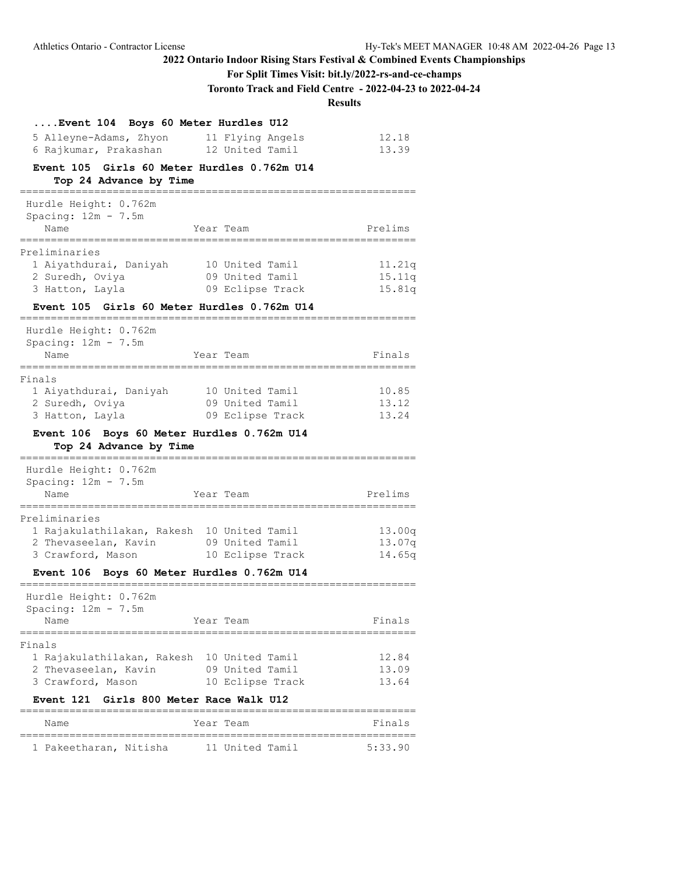# **For Split Times Visit: bit.ly/2022-rs-and-ce-champs**

**Toronto Track and Field Centre - 2022-04-23 to 2022-04-24**

**Results**

| Event 104 Boys 60 Meter Hurdles U12                                  |                                     |                  |
|----------------------------------------------------------------------|-------------------------------------|------------------|
| 5 Alleyne-Adams, Zhyon<br>6 Rajkumar, Prakashan                      | 11 Flying Angels<br>12 United Tamil | 12.18<br>13.39   |
| Event 105<br>Top 24 Advance by Time                                  | Girls 60 Meter Hurdles 0.762m U14   |                  |
| Hurdle Height: 0.762m                                                |                                     |                  |
| Spacing: $12m - 7.5m$<br>Name<br>===========                         | Year Team                           | Prelims          |
| Preliminaries                                                        |                                     |                  |
| 1 Aiyathdurai, Daniyah                                               | 10 United Tamil                     | 11.21q           |
| 2 Suredh, Oviya<br>3 Hatton, Layla                                   | 09 United Tamil<br>09 Eclipse Track | 15.11q<br>15.81q |
| Event 105 Girls 60 Meter Hurdles 0.762m U14                          |                                     |                  |
| Hurdle Height: 0.762m<br>Spacing: $12m - 7.5m$                       |                                     |                  |
| Name                                                                 | Year Team                           | Finals           |
| Finals                                                               |                                     |                  |
| 1 Aiyathdurai, Daniyah                                               | 10 United Tamil                     | 10.85            |
| 2 Suredh, Oviya                                                      | 09 United Tamil                     | 13.12            |
| 3 Hatton, Layla                                                      | 09 Eclipse Track                    | 13.24            |
| Event 106 Boys 60 Meter Hurdles 0.762m U14<br>Top 24 Advance by Time |                                     |                  |
| Hurdle Height: 0.762m                                                |                                     |                  |
| Spacing: $12m - 7.5m$                                                |                                     |                  |
| Name                                                                 | Year Team                           | Prelims          |
| Preliminaries                                                        |                                     |                  |
| 1 Rajakulathilakan, Rakesh                                           | 10 United Tamil                     | 13.00q           |
| 2 Thevaseelan, Kavin<br>3 Crawford, Mason                            | 09 United Tamil<br>10 Eclipse Track | 13.07q<br>14.65q |
| Event 106 Boys 60 Meter Hurdles 0.762m U14                           |                                     |                  |
| Hurdle Height: 0.762m                                                |                                     |                  |
| Spacing: $12m - 7.5m$                                                |                                     |                  |
| Name                                                                 | Year Team                           | Finals           |
| ===================<br>Finals                                        |                                     |                  |
| 1 Rajakulathilakan, Rakesh                                           | 10 United Tamil                     | 12.84            |
| 2 Thevaseelan, Kavin                                                 | 09 United Tamil                     | 13.09            |
| 3 Crawford, Mason<br>Event 121 Girls 800 Meter Race Walk U12         | 10 Eclipse Track                    | 13.64            |
| Name                                                                 | Year Team                           | Finals           |
|                                                                      | 11 United Tamil                     | 5:33.90          |
| 1 Pakeetharan, Nitisha                                               |                                     |                  |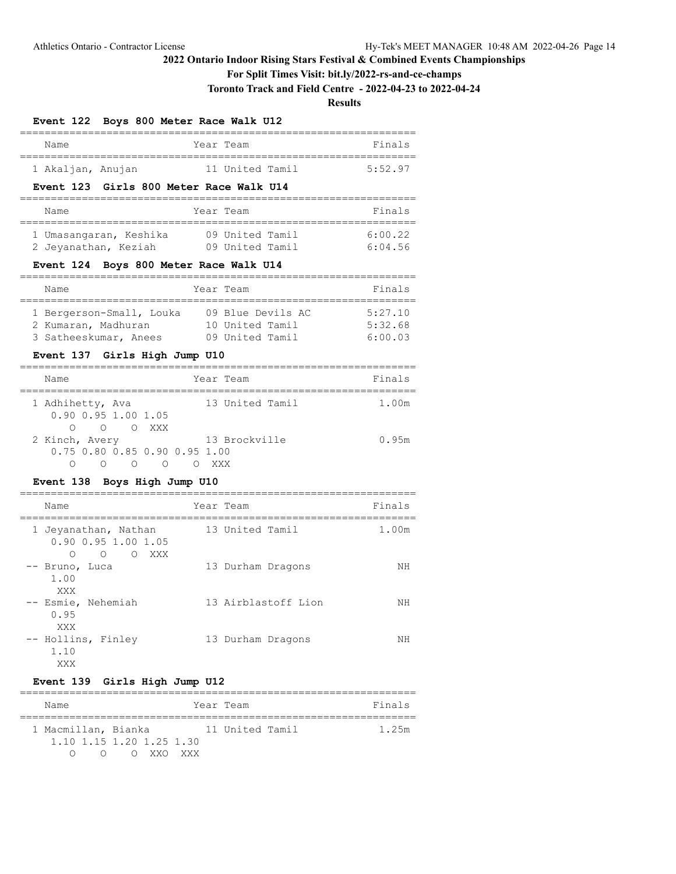## **For Split Times Visit: bit.ly/2022-rs-and-ce-champs**

**Toronto Track and Field Centre - 2022-04-23 to 2022-04-24**

**Results**

## **Event 122 Boys 800 Meter Race Walk U12**

| Name              |  | Year Team       | Finals  |
|-------------------|--|-----------------|---------|
| 1 Akaljan, Anujan |  | 11 United Tamil | 5:52.97 |

#### **Event 123 Girls 800 Meter Race Walk U14**

| Name                   | Year Team       | Finals  |
|------------------------|-----------------|---------|
| 1 Umasangaran, Keshika | 09 United Tamil | 6:00.22 |
| 2 Jeyanathan, Keziah   | 09 United Tamil | 6:04.56 |

#### **Event 124 Boys 800 Meter Race Walk U14**

| Name                     | Year Team         | Finals  |
|--------------------------|-------------------|---------|
|                          |                   |         |
| 1 Bergerson-Small, Louka | 09 Blue Devils AC | 5:27.10 |
| 2 Kumaran, Madhuran      | 10 United Tamil   | 5:32.68 |
| 3 Satheeskumar, Anees    | 09 United Tamil   | 6:00.03 |

## **Event 137 Girls High Jump U10**

| Name                                        |        |   | Year Team       | Finals |
|---------------------------------------------|--------|---|-----------------|--------|
| 1 Adhihetty, Ava<br>$0.90$ $0.95$ 1.00 1.05 |        |   | 13 United Tamil | 1.00m  |
| 2 Kinch, Avery                              | O OXXX |   | 13 Brockville   | 0.95m  |
| 0.75 0.80 0.85 0.90 0.95 1.00               |        |   |                 |        |
|                                             |        | ∩ |                 |        |

## **Event 138 Boys High Jump U10**

| Name                                                                              | Year Team           | Finals |
|-----------------------------------------------------------------------------------|---------------------|--------|
| 1 Jeyanathan, Nathan<br>$0.90$ $0.95$ 1.00 1.05<br>$\circ$<br>$\circ$<br>XXX<br>∩ | 13 United Tamil     | 1.00m  |
| -- Bruno, Luca<br>1.00<br>XXX                                                     | 13 Durham Dragons   | NΗ     |
| -- Esmie, Nehemiah<br>0.95<br>XXX                                                 | 13 Airblastoff Lion | ΝH     |
| -- Hollins, Finley<br>1.10<br>XXX                                                 | 13 Durham Dragons   | NΗ     |

#### **Event 139 Girls High Jump U12**

| Name                          |                          |  | Year Team       | Finals |  |  |
|-------------------------------|--------------------------|--|-----------------|--------|--|--|
| 1 Macmillan, Bianka           | 1.10 1.15 1.20 1.25 1.30 |  | 11 United Tamil | 1.25m  |  |  |
| $\bigcap$<br>$\left( \right)$ | O XXO XXX                |  |                 |        |  |  |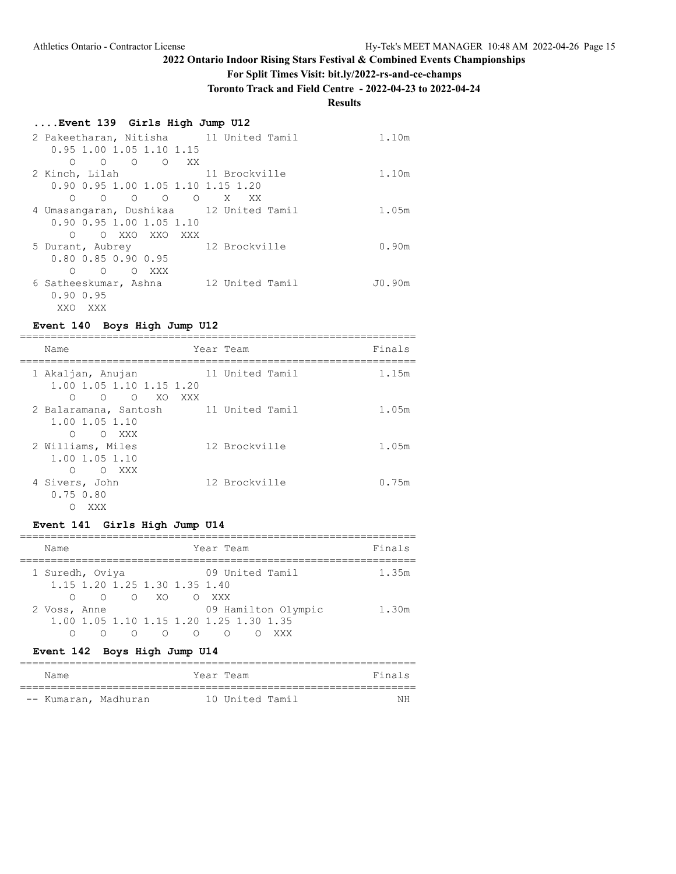**For Split Times Visit: bit.ly/2022-rs-and-ce-champs**

**Toronto Track and Field Centre - 2022-04-23 to 2022-04-24**

# **Results**

## **....Event 139 Girls High Jump U12**

| 2 Pakeetharan, Nitisha 11 United Tamil                            |                 | 1.10m  |
|-------------------------------------------------------------------|-----------------|--------|
| $0.95$ 1.00 1.05 1.10 1.15                                        |                 |        |
| $\Omega$<br>XX X<br>O<br>$\circ$<br>$\circ$                       |                 |        |
| 2 Kinch, Lilah                                                    | 11 Brockville   | 1.10m  |
| 0.90 0.95 1.00 1.05 1.10 1.15 1.20                                |                 |        |
| $\begin{matrix} 0 & 0 \end{matrix}$<br>$\overline{O}$<br>$\Omega$ | X<br>XX         |        |
| 4 Umasangaran, Dushikaa 12 United Tamil                           |                 | 1.05m  |
| $0.90$ $0.95$ 1.00 1.05 1.10                                      |                 |        |
| XXO XXO<br>XXX<br>$\Omega$<br>∩                                   |                 |        |
| 5 Durant, Aubrey                                                  | 12 Brockville   | 0.90m  |
| 0.80 0.85 0.90 0.95                                               |                 |        |
| XXX<br>∩<br>$\Omega$<br>$\Omega$                                  |                 |        |
| 6 Satheeskumar, Ashna                                             | 12 United Tamil | JO.90m |
| 0.900.95                                                          |                 |        |
| XXO<br>XXX                                                        |                 |        |

## **Event 140 Boys High Jump U12**

| Name<br>Year Team<br>11 United Tamil<br>1 Akaljan, Anujan<br>1.00 1.05 1.10 1.15 1.20<br>$\overline{O}$<br>$\bigcirc$<br>XO<br>XXX<br>∩<br>11 United Tamil<br>2 Balaramana, Santosh<br>1.00 1.05 1.10 |  |  |        |
|-------------------------------------------------------------------------------------------------------------------------------------------------------------------------------------------------------|--|--|--------|
|                                                                                                                                                                                                       |  |  | Finals |
|                                                                                                                                                                                                       |  |  | 1.15m  |
|                                                                                                                                                                                                       |  |  | 1.05m  |
| $\circ$<br>∩<br>XXX<br>12 Brockville<br>2 Williams, Miles<br>1.00 1.05 1.10                                                                                                                           |  |  | 1.05m  |
| XXX<br>$\bigcirc$<br>∩<br>12 Brockville<br>4 Sivers, John<br>$0.75$ $0.80$<br>XXX                                                                                                                     |  |  | 0.75m  |

## **Event 141 Girls High Jump U14**

| Name            | Year Team                               | Finals |
|-----------------|-----------------------------------------|--------|
| 1 Suredh, Oviya | 09 United Tamil                         | 1.35m  |
|                 | 1.15 1.20 1.25 1.30 1.35 1.40           |        |
|                 | 0 O XO O XXX                            |        |
| 2 Voss, Anne    | 09 Hamilton Olympic                     | 1.30m  |
|                 | 1.00 1.05 1.10 1.15 1.20 1.25 1.30 1.35 |        |
|                 | ∩<br>∩<br>∩                             |        |

# **Event 142 Boys High Jump U14**

| Name                 | Year Team |                 |  | Finals |
|----------------------|-----------|-----------------|--|--------|
| -- Kumaran, Madhuran |           | 10 United Tamil |  | ΝH     |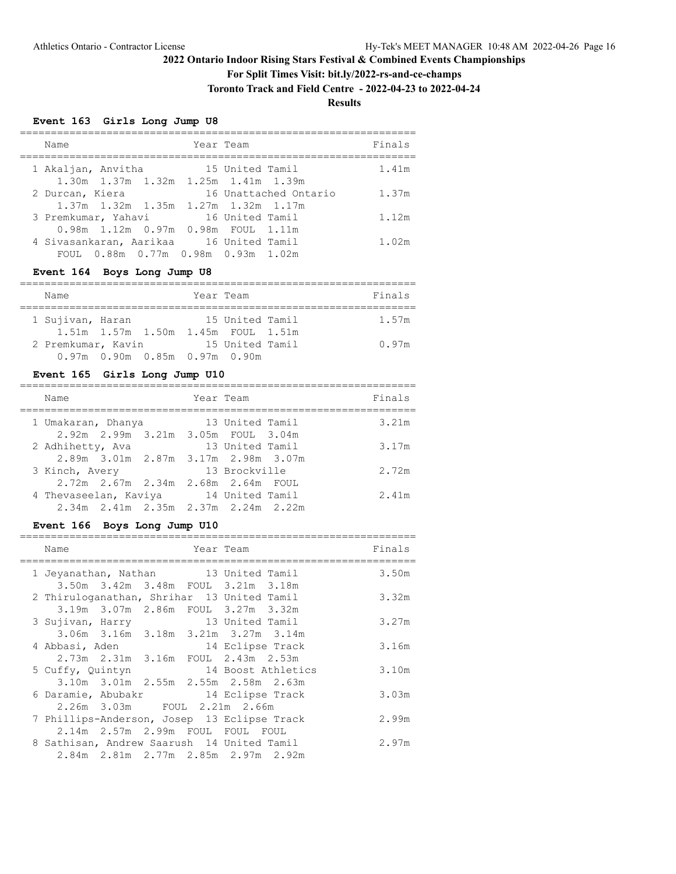**For Split Times Visit: bit.ly/2022-rs-and-ce-champs**

**Toronto Track and Field Centre - 2022-04-23 to 2022-04-24**

**Results**

## **Event 163 Girls Long Jump U8**

| Name                                                                          | Year Team             | Finals |
|-------------------------------------------------------------------------------|-----------------------|--------|
| 1 Akaljan, Anvitha<br>1.30m 1.37m 1.32m 1.25m 1.41m 1.39m                     | 15 United Tamil       | 1.41m  |
| 2 Durcan, Kiera<br>1.37m 1.32m 1.35m 1.27m 1.32m 1.17m                        | 16 Unattached Ontario | 1.37m  |
| 3 Premkumar, Yahavi 16 United Tamil                                           |                       | 1.12m  |
| 0.98m 1.12m 0.97m 0.98m FOUL 1.11m<br>4 Sivasankaran, Aarikaa 16 United Tamil |                       | 1.02m  |
| FOUL 0.88m 0.77m 0.98m 0.93m 1.02m                                            |                       |        |

## **Event 164 Boys Long Jump U8**

| Name               |                               | Year Team                                             |  | Finals |
|--------------------|-------------------------------|-------------------------------------------------------|--|--------|
| 1 Sujivan, Haran   |                               | 15 United Tamil<br>1.51m 1.57m 1.50m 1.45m FOUL 1.51m |  | 1.57m  |
| 2 Premkumar, Kavin |                               | 15 United Tamil                                       |  | 0.97m  |
|                    | 0.97m 0.90m 0.85m 0.97m 0.90m |                                                       |  |        |

## **Event 165 Girls Long Jump U10**

| Name                                                         | Year Team |                 |  | Finals |
|--------------------------------------------------------------|-----------|-----------------|--|--------|
| 1 Umakaran, Dhanya<br>2.92m 2.99m 3.21m 3.05m FOUL 3.04m     |           | 13 United Tamil |  | 3.21m  |
| 2 Adhihetty, Ava                                             |           | 13 United Tamil |  | 3.17m  |
| 2.89m 3.01m 2.87m 3.17m 2.98m 3.07m<br>3 Kinch, Avery        |           | 13 Brockville   |  | 2.72m  |
| 2.72m 2.67m 2.34m 2.68m 2.64m FOUL                           |           |                 |  |        |
| 4 Thevaseelan, Kaviya<br>2.34m 2.41m 2.35m 2.37m 2.24m 2.22m |           | 14 United Tamil |  | 2.41m  |

## **Event 166 Boys Long Jump U10**

| Name                                        |                                         | Year Team                           | Finals |
|---------------------------------------------|-----------------------------------------|-------------------------------------|--------|
| 1 Jeyanathan, Nathan 13 United Tamil        |                                         |                                     | 3.50m  |
|                                             | 3.50m 3.42m 3.48m FOUL 3.21m 3.18m      |                                     |        |
| 2 Thiruloganathan, Shrihar 13 United Tamil  |                                         |                                     | 3.32m  |
|                                             | 3.19m 3.07m 2.86m FOUL 3.27m 3.32m      |                                     |        |
| 3 Sujivan, Harry 13 United Tamil            |                                         |                                     | 3.27m  |
|                                             |                                         | 3.06m 3.16m 3.18m 3.21m 3.27m 3.14m |        |
| 4 Abbasi, Aden                              |                                         | 14 Eclipse Track                    | 3.16m  |
|                                             | 2.73m  2.31m  3.16m  FOUL  2.43m  2.53m |                                     |        |
|                                             |                                         | 5 Cuffy, Quintyn 14 Boost Athletics | 3.10m  |
|                                             |                                         | 3.10m 3.01m 2.55m 2.55m 2.58m 2.63m |        |
| 6 Daramie, Abubakr 14 Eclipse Track         |                                         |                                     | 3.03m  |
|                                             | 2.26m 3.03m FOUL 2.21m 2.66m            |                                     |        |
| 7 Phillips-Anderson, Josep 13 Eclipse Track |                                         |                                     | 2.99m  |
|                                             | 2.14m 2.57m 2.99m FOUL FOUL FOUL        |                                     |        |
| 8 Sathisan, Andrew Saarush 14 United Tamil  |                                         |                                     | 2.97m  |
|                                             |                                         | 2.84m 2.81m 2.77m 2.85m 2.97m 2.92m |        |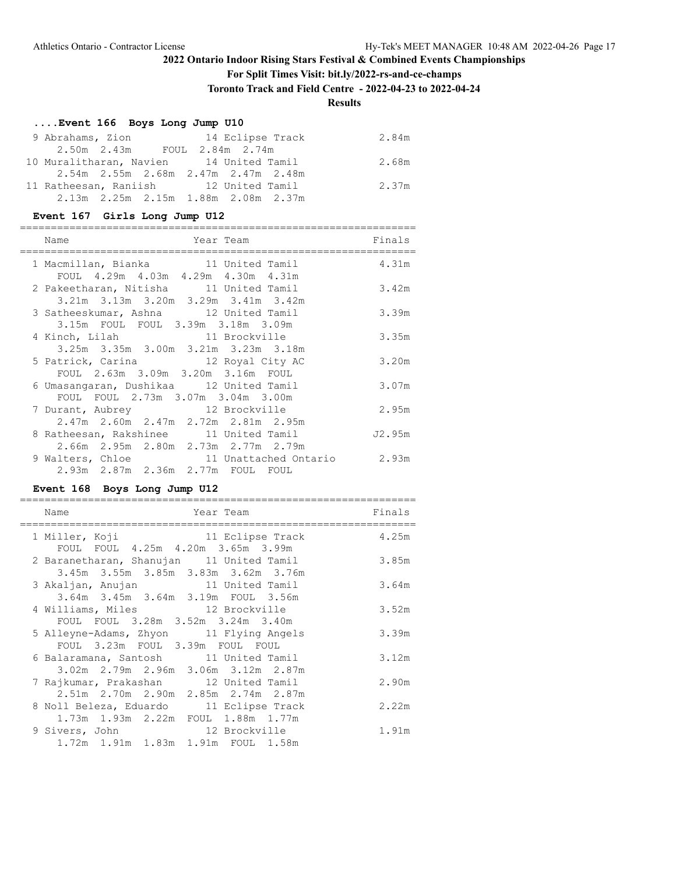**For Split Times Visit: bit.ly/2022-rs-and-ce-champs**

**Toronto Track and Field Centre - 2022-04-23 to 2022-04-24**

**Results**

## **....Event 166 Boys Long Jump U10**

| 9 Abrahams, Zion                        |                                     |  | 14 Eclipse Track | 2.84m |
|-----------------------------------------|-------------------------------------|--|------------------|-------|
|                                         | 2.50m 2.43m FOUL 2.84m 2.74m        |  |                  |       |
| 10 Muralitharan, Navien 14 United Tamil |                                     |  |                  | 2.68m |
|                                         | 2.54m 2.55m 2.68m 2.47m 2.47m 2.48m |  |                  |       |
| 11 Ratheesan, Raniish 12 United Tamil   |                                     |  |                  | 2.37m |
|                                         | 2.13m 2.25m 2.15m 1.88m 2.08m 2.37m |  |                  |       |

#### **Event 167 Girls Long Jump U12**

| Name<br>Year Team<br>========================                                       | Finals |
|-------------------------------------------------------------------------------------|--------|
| 1 Macmillan, Bianka 11 United Tamil<br>FOUL 4.29m 4.03m 4.29m 4.30m 4.31m           | 4.31m  |
| 2 Pakeetharan, Nitisha 11 United Tamil<br>3.21m 3.13m 3.20m 3.29m 3.41m 3.42m       | 3.42m  |
| 3 Satheeskumar, Ashna 12 United Tamil<br>3.15m FOUL FOUL 3.39m 3.18m 3.09m          | 3.39m  |
| 4 Kinch, Lilah 11 Brockville<br>3.25m 3.35m 3.00m 3.21m 3.23m 3.18m                 | 3.35m  |
| 5 Patrick, Carina 12 Royal City AC<br>FOUL 2.63m 3.09m 3.20m 3.16m FOUL             | 3.20m  |
| 6 Umasangaran, Dushikaa 12 United Tamil                                             | 3.07m  |
| FOUL FOUL 2.73m 3.07m 3.04m 3.00m<br>7 Durant, Aubrey 12 Brockville                 | 2.95m  |
| 2.47m 2.60m 2.47m 2.72m 2.81m 2.95m<br>8 Ratheesan, Rakshinee 11 United Tamil       | J2.95m |
| 2.66m 2.95m 2.80m 2.73m 2.77m 2.79m<br>9 Walters, Chloe 11 Unattached Ontario 2.93m |        |
| 2.93m 2.87m 2.36m 2.77m FOUL FOUL                                                   |        |

## **Event 168 Boys Long Jump U12**

| Name<br>Year Team<br>:==================                                                                 | Finals |
|----------------------------------------------------------------------------------------------------------|--------|
| 1 Miller, Koji                       11 Eclipse Track<br>FOUL FOUL 4.25m 4.20m 3.65m 3.99m               | 4.25m  |
| 2 Baranetharan, Shanujan 11 United Tamil<br>3.45m 3.55m 3.85m 3.83m 3.62m 3.76m                          | 3.85m  |
| 3 Akaljan, Anujan 11 United Tamil<br>3.64m 3.45m 3.64m 3.19m FOUL 3.56m                                  | 3.64m  |
| 4 Williams, Miles 12 Brockville                                                                          | 3.52m  |
| FOUL FOUL 3.28m 3.52m 3.24m 3.40m<br>5 Alleyne-Adams, Zhyon 11 Flying Angels                             | 3.39m  |
| FOUL 3.23m FOUL 3.39m FOUL FOUL<br>6 Balaramana, Santosh 11 United Tamil                                 | 3.12m  |
| 3.02m 2.79m 2.96m 3.06m 3.12m 2.87m<br>7 Rajkumar, Prakashan 12 United Tamil                             | 2.90m  |
| 2.51m 2.70m 2.90m 2.85m 2.74m 2.87m<br>8 Noll Beleza, Eduardo 11 Eclipse Track                           | 2.22m  |
| 1.73m 1.93m 2.22m FOUL 1.88m 1.77m<br>9 Sivers, John 12 Brockville<br>1.72m 1.91m 1.83m 1.91m FOUL 1.58m | 1.91m  |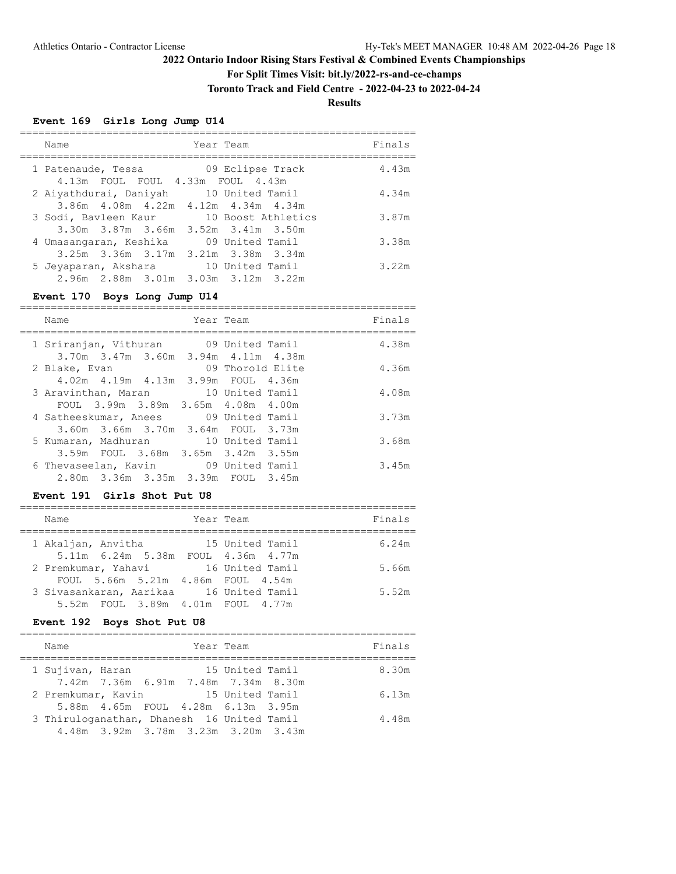## **For Split Times Visit: bit.ly/2022-rs-and-ce-champs**

**Toronto Track and Field Centre - 2022-04-23 to 2022-04-24**

**Results**

## **Event 169 Girls Long Jump U14**

| Name                                    |  | Year Team                                              |  | Finals |
|-----------------------------------------|--|--------------------------------------------------------|--|--------|
| 1 Patenaude, Tessa                      |  | 09 Eclipse Track<br>4.13m FOUL FOUL 4.33m FOUL 4.43m   |  | 4.43m  |
| 2 Aiyathdurai, Daniyah                  |  | 10 United Tamil<br>3.86m 4.08m 4.22m 4.12m 4.34m 4.34m |  | 4.34m  |
| 3 Sodi, Bavleen Kaur 10 Boost Athletics |  | $3.30m$ $3.87m$ $3.66m$ $3.52m$ $3.41m$ $3.50m$        |  | 3.87m  |
| 4 Umasangaran, Keshika                  |  | 09 United Tamil<br>3.25m 3.36m 3.17m 3.21m 3.38m 3.34m |  | 3.38m  |
| 5 Jeyaparan, Akshara 10 United Tamil    |  | 2.96m 2.88m 3.01m 3.03m 3.12m 3.22m                    |  | 3.22m  |

#### **Event 170 Boys Long Jump U14**

| Name                                    | Year Team        | Finals |
|-----------------------------------------|------------------|--------|
|                                         |                  |        |
| 1 Sriranjan, Vithuran 19 United Tamil   |                  | 4.38m  |
| 3.70m 3.47m 3.60m 3.94m 4.11m 4.38m     |                  |        |
| 2 Blake, Evan                           | 09 Thorold Elite | 4.36m  |
| 4.02m  4.19m  4.13m  3.99m  FOUL  4.36m |                  |        |
| 3 Aravinthan, Maran 10 United Tamil     |                  | 4.08m  |
| FOUL 3.99m 3.89m 3.65m 4.08m 4.00m      |                  |        |
| 4 Satheeskumar, Anees 09 United Tamil   |                  | 3.73m  |
| 3.60m 3.66m 3.70m 3.64m FOUL 3.73m      |                  |        |
| 5 Kumaran, Madhuran 10 United Tamil     |                  | 3.68m  |
| 3.59m FOUL 3.68m 3.65m 3.42m 3.55m      |                  |        |
| 6 Thevaseelan, Kavin 09 United Tamil    |                  | 3.45m  |
| 2.80m 3.36m 3.35m 3.39m FOUL 3.45m      |                  |        |
|                                         |                  |        |

#### **Event 191 Girls Shot Put U8**

| Name                                                                         | Year Team       | Finals |
|------------------------------------------------------------------------------|-----------------|--------|
| 1 Akaljan, Anvitha<br>5.11m 6.24m 5.38m FOUL 4.36m 4.77m                     | 15 United Tamil | 6.24m  |
| 2 Premkumar, Yahavi<br>FOUL 5.66m 5.21m 4.86m FOUL 4.54m                     | 16 United Tamil | 5.66m  |
| 3 Sivasankaran, Aarikaa 16 United Tamil<br>5.52m FOUL 3.89m 4.01m FOUL 4.77m |                 | 5.52m  |
|                                                                              |                 |        |

## **Event 192 Boys Shot Put U8**

| Name                                       |                                         |                 | Year Team       |  | Finals |
|--------------------------------------------|-----------------------------------------|-----------------|-----------------|--|--------|
| 1 Sujivan, Haran                           |                                         |                 | 15 United Tamil |  | 8.30m  |
|                                            | 7.42m 7.36m 6.91m 7.48m 7.34m 8.30m     |                 |                 |  |        |
| 2 Premkumar, Kavin                         |                                         | 15 United Tamil |                 |  | 6.13m  |
|                                            | 5.88m  4.65m  FOUL  4.28m  6.13m  3.95m |                 |                 |  |        |
| 3 Thiruloganathan, Dhanesh 16 United Tamil |                                         |                 |                 |  | 4.48m  |
|                                            | 4.48m 3.92m 3.78m 3.23m 3.20m 3.43m     |                 |                 |  |        |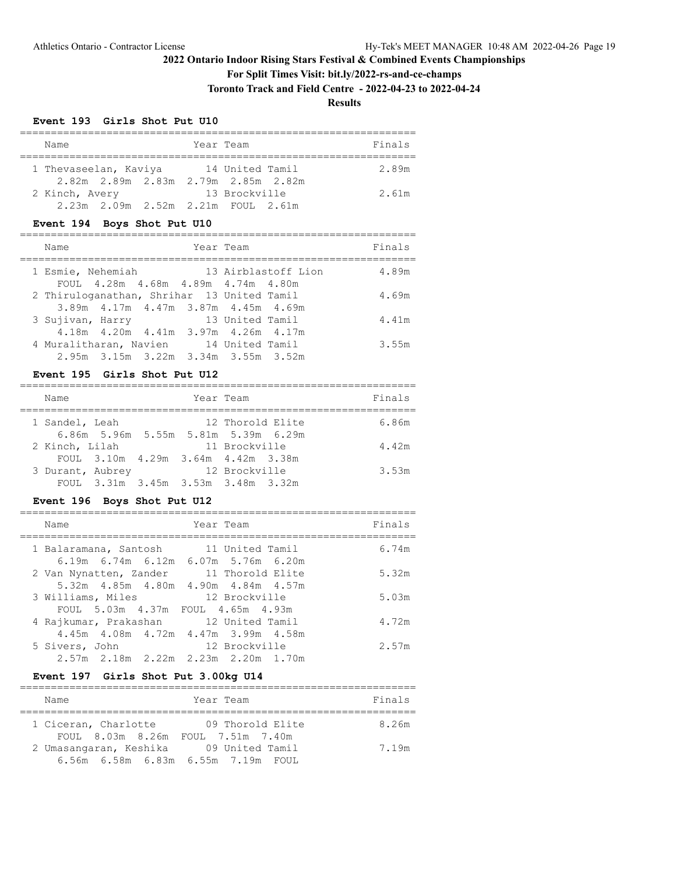**For Split Times Visit: bit.ly/2022-rs-and-ce-champs**

**Toronto Track and Field Centre - 2022-04-23 to 2022-04-24**

**Results**

#### **Event 193 Girls Shot Put U10**

| Name                               | Year Team                                            | Finals |
|------------------------------------|------------------------------------------------------|--------|
| 1 Thevaseelan, Kaviya              | 14 United Tamil                                      | 2.89m  |
| 2 Kinch, Avery                     | 2.82m 2.89m 2.83m 2.79m 2.85m 2.82m<br>13 Brockville | 2.61m  |
| 2.23m 2.09m 2.52m 2.21m FOUL 2.61m |                                                      |        |

## **Event 194 Boys Shot Put U10**

| Name                                       |                                          | Year Team       |                     | Finals |
|--------------------------------------------|------------------------------------------|-----------------|---------------------|--------|
| 1 Esmie, Nehemiah                          |                                          |                 | 13 Airblastoff Lion | 4.89m  |
|                                            | FOUL 4.28m 4.68m 4.89m 4.74m 4.80m       |                 |                     |        |
| 2 Thiruloganathan, Shrihar 13 United Tamil |                                          |                 |                     | 4.69m  |
|                                            | 3.89m 4.17m 4.47m 3.87m 4.45m 4.69m      |                 |                     |        |
| 3 Sujivan, Harry                           |                                          | 13 United Tamil |                     | 4.41m  |
|                                            | 4.18m  4.20m  4.41m  3.97m  4.26m  4.17m |                 |                     |        |
| 4 Muralitharan, Navien                     |                                          | 14 United Tamil |                     | 3.55m  |
|                                            | 2.95m 3.15m 3.22m 3.34m 3.55m 3.52m      |                 |                     |        |

#### **Event 195 Girls Shot Put U12**

| Name             |                                     | Year Team |               |                  | Finals |
|------------------|-------------------------------------|-----------|---------------|------------------|--------|
| 1 Sandel, Leah   | 6.86m 5.96m 5.55m 5.81m 5.39m 6.29m |           |               | 12 Thorold Elite | 6.86m  |
| 2 Kinch, Lilah   |                                     |           | 11 Brockville |                  | 4.42m  |
|                  | FOUL 3.10m 4.29m 3.64m 4.42m 3.38m  |           |               |                  |        |
| 3 Durant, Aubrey | FOUL 3.31m 3.45m 3.53m 3.48m 3.32m  |           | 12 Brockville |                  | 3.53m  |

# **Event 196 Boys Shot Put U12**

| Name                                                                         | Year Team        | Finals |
|------------------------------------------------------------------------------|------------------|--------|
| 1 Balaramana, Santosh 11 United Tamil<br>6.19m 6.74m 6.12m 6.07m 5.76m 6.20m |                  | 6.74m  |
| 2 Van Nynatten, Zander<br>5.32m 4.85m 4.80m 4.90m 4.84m 4.57m                | 11 Thorold Elite | 5.32m  |
| 3 Williams, Miles                                                            | 12 Brockville    | 5.03m  |
| FOUL 5.03m 4.37m FOUL 4.65m 4.93m                                            |                  |        |
| 4 Rajkumar, Prakashan 12 United Tamil                                        |                  | 4.72m  |
| 4.45m 4.08m 4.72m 4.47m 3.99m 4.58m                                          |                  |        |
| 5 Sivers, John                                                               | 12 Brockville    | 2.57m  |
| $2.57m$ $2.18m$ $2.22m$ $2.23m$ $2.20m$ $1.70m$                              |                  |        |

## **Event 197 Girls Shot Put 3.00kg U14**

| Name                                   | Year Team                               | Finals |
|----------------------------------------|-----------------------------------------|--------|
|                                        |                                         |        |
| 1 Ciceran, Charlotte                   | 09 Thorold Elite                        | 8.26m  |
|                                        | FOUL 8.03m 8.26m FOUL 7.51m 7.40m       |        |
| 2 Umasangaran, Keshika 09 United Tamil |                                         | 7.19m  |
|                                        | 6.56m  6.58m  6.83m  6.55m  7.19m  FOUL |        |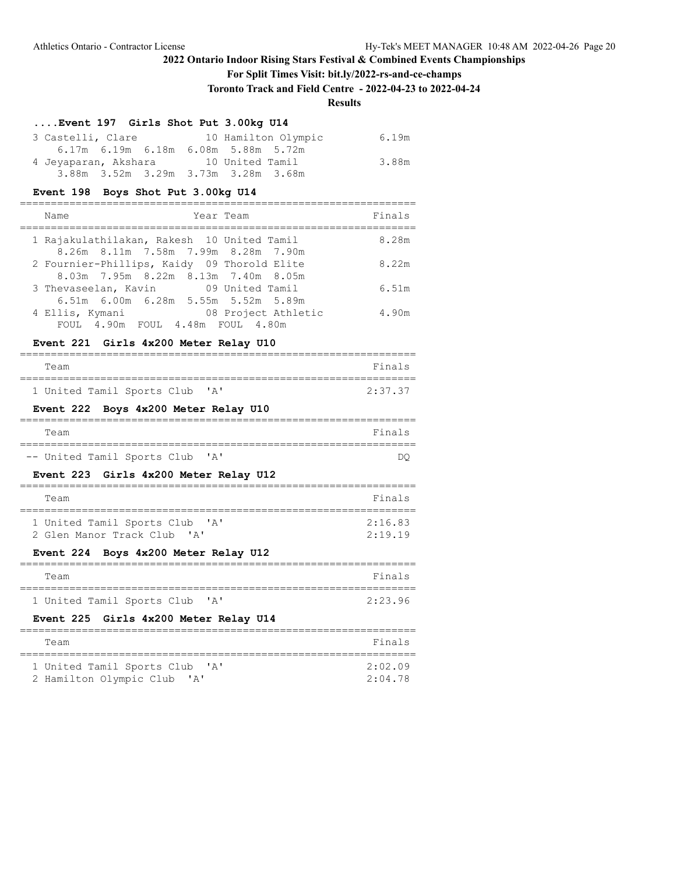## **For Split Times Visit: bit.ly/2022-rs-and-ce-champs**

**Toronto Track and Field Centre - 2022-04-23 to 2022-04-24**

# **Results**

## **....Event 197 Girls Shot Put 3.00kg U14**

| 3 Castelli, Clare                    | 10 Hamilton Olympic                 | 6.19m |
|--------------------------------------|-------------------------------------|-------|
|                                      | 6.17m 6.19m 6.18m 6.08m 5.88m 5.72m |       |
| 4 Jeyaparan, Akshara 10 United Tamil |                                     | 3.88m |
|                                      | 3.88m 3.52m 3.29m 3.73m 3.28m 3.68m |       |

#### **Event 198 Boys Shot Put 3.00kg U14**

| Year Team<br>Name                               |                     | Finals |
|-------------------------------------------------|---------------------|--------|
| 1 Rajakulathilakan, Rakesh 10 United Tamil      |                     | 8.28m  |
| 8.26m 8.11m 7.58m 7.99m 8.28m 7.90m             |                     |        |
| 2 Fournier-Phillips, Kaidy 09 Thorold Elite     |                     | 8.22m  |
| $8.03m$ $7.95m$ $8.22m$ $8.13m$ $7.40m$ $8.05m$ |                     |        |
| 3 Thevaseelan, Kavin 69 United Tamil            |                     | 6.51m  |
| 6.51m 6.00m 6.28m 5.55m 5.52m 5.89m             |                     |        |
| 4 Ellis, Kymani                                 | 08 Project Athletic | 4.90m  |
| FOUL 4.90m FOUL 4.48m FOUL 4.80m                |                     |        |

#### **Event 221 Girls 4x200 Meter Relay U10**

| Team                           |  |  | Finals  |
|--------------------------------|--|--|---------|
|                                |  |  |         |
| 1 United Tamil Sports Club 'A' |  |  | 2:37.37 |

## **Event 222 Boys 4x200 Meter Relay U10**

| Team                            |  |  | Finals |
|---------------------------------|--|--|--------|
|                                 |  |  |        |
| -- United Tamil Sports Club 'A' |  |  |        |

#### **Event 223 Girls 4x200 Meter Relay U12**

| Team                                       | Finals  |
|--------------------------------------------|---------|
|                                            |         |
| 1 United Tamil Sports Club<br>$\mathsf{A}$ | 2:16.83 |
| 2 Glen Manor Track Club 'A'                | 2:19.19 |

## **Event 224 Boys 4x200 Meter Relay U12**

| Team                                                                                                                                                                                                                                                                | Finals  |
|---------------------------------------------------------------------------------------------------------------------------------------------------------------------------------------------------------------------------------------------------------------------|---------|
| 1 United Tamil Sports Club 'A'                                                                                                                                                                                                                                      | 2:23.96 |
| $\sim$ 0.000 $\sim$ 0.000 $\sim$ 0.000 $\sim$ 0.000 $\sim$ 0.000 $\sim$ 0.000 $\sim$ 0.000 $\sim$ 0.000 $\sim$ 0.000 $\sim$ 0.000 $\sim$ 0.000 $\sim$ 0.000 $\sim$ 0.000 $\sim$ 0.000 $\sim$ 0.000 $\sim$ 0.000 $\sim$ 0.000 $\sim$ 0.000 $\sim$ 0.000 $\sim$ 0.000 |         |

## **Event 225 Girls 4x200 Meter Relay U14**

| Team                                                         | Finals  |
|--------------------------------------------------------------|---------|
| 1 United Tamil Sports Club<br>$\mathsf{I} \wedge \mathsf{I}$ | 2:02.09 |
| 2 Hamilton Olympic Club 'A'                                  | 2:04.78 |